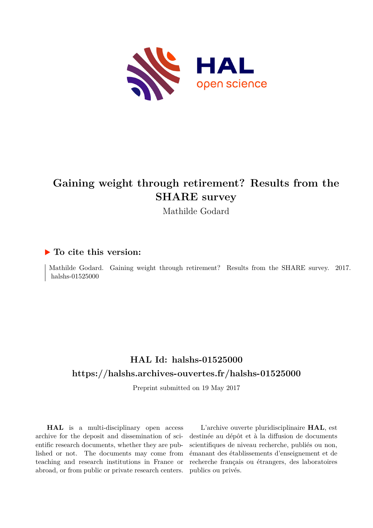

# **Gaining weight through retirement? Results from the SHARE survey**

Mathilde Godard

# **To cite this version:**

Mathilde Godard. Gaining weight through retirement? Results from the SHARE survey. 2017. halshs- $01525000$ 

# **HAL Id: halshs-01525000 <https://halshs.archives-ouvertes.fr/halshs-01525000>**

Preprint submitted on 19 May 2017

**HAL** is a multi-disciplinary open access archive for the deposit and dissemination of scientific research documents, whether they are published or not. The documents may come from teaching and research institutions in France or abroad, or from public or private research centers.

L'archive ouverte pluridisciplinaire **HAL**, est destinée au dépôt et à la diffusion de documents scientifiques de niveau recherche, publiés ou non, émanant des établissements d'enseignement et de recherche français ou étrangers, des laboratoires publics ou privés.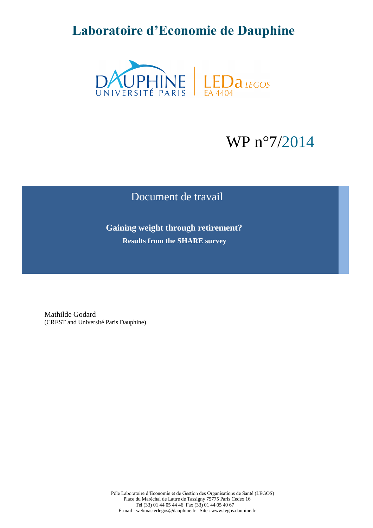# **Laboratoire d'Economie de Dauphine**



# WP n°7/2014

# Document de travail

 **Gaining weight through retirement? Results from the SHARE survey**

Mathilde Godard (CREST and Université Paris Dauphine)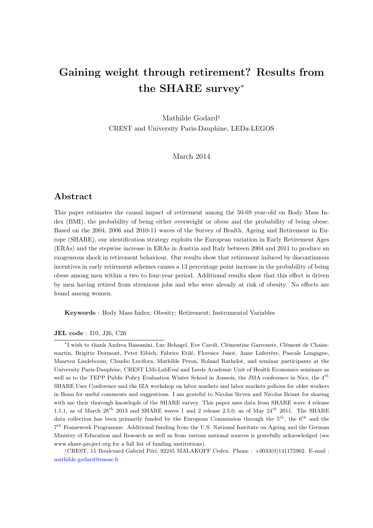# Gaining weight through retirement? Results from the SHARE survey<sup>∗</sup>

Mathilde Godard† CREST and University Paris-Dauphine, LEDa-LEGOS

March 2014

## Abstract

This paper estimates the causal impact of retirement among the 50-69 year-old on Body Mass Index (BMI), the probability of being either overweight or obese and the probability of being obese. Based on the 2004, 2006 and 2010-11 waves of the Survey of Health, Ageing and Retirement in Europe (SHARE), our identification strategy exploits the European variation in Early Retirement Ages (ERAs) and the stepwise increase in ERAs in Austria and Italy between 2004 and 2011 to produce an exogeneous shock in retirement behaviour. Our results show that retirement induced by discontinuous incentives in early retirement schemes causes a 13 percentage point increase in the probability of being obese among men within a two to four-year period. Additional results show that this effect is driven by men having retired from strenuous jobs and who were already at risk of obesity. No effects are found among women.

Keywords : Body Mass Index; Obesity; Retirement; Instrumental Variables

JEL code : I10, J26, C26

\*I wish to thank Andrea Bassanini, Luc Behagel, Eve Caroli, Clémentine Garrouste, Clément de Chaisemartin, Brigitte Dormont, Peter Eibich, Fabrice Etilé, Florence Jusot, Anne Laferrère, Pascale Lengagne, Maarten Lindeboom, Claudio Lucifora, Mathilde Peron, Roland Rathelot, and seminar participants at the University Paris-Dauphine, CREST LMi-LabEval and Leeds Academic Unit of Health Economics seminars as well as to the TEPP Public Policy Evaluation Winter School in Aussois, the JMA conference in Nice, the 4<sup>th</sup> SHARE User Conference and the IZA workshop on labor markets and labor markets policies for older workers in Bonn for useful comments and suggestions. I am grateful to Nicolas Sirven and Nicolas Briant for sharing with me their thorough knowlegde of the SHARE survey. This paper uses data from SHARE wave 4 release 1.1.1, as of March  $28^{th}$  2013 and SHARE waves 1 and 2 release 2.5.0, as of May  $24^{th}$  2011. The SHARE data collection has been primarily funded by the European Commission through the  $5^{th}$ , the  $6^{th}$  and the 7 th Framework Programme. Additional funding from the U.S. National Institute on Ageing and the German Ministry of Education and Research as well as from various national sources is gratefully acknowledged (see www.share-project.org for a full list of funding institutions).

†CREST, 15 Boulevard Gabriel P´eri, 92245 MALAKOFF Cedex. Phone : +0033(0)141175902. E-mail : mathilde.godard@ensae.fr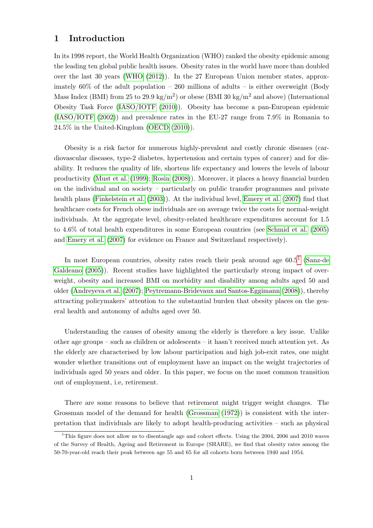### 1 Introduction

In its 1998 report, the World Health Organization (WHO) ranked the obesity epidemic among the leading ten global public health issues. Obesity rates in the world have more than doubled over the last 30 years (WHO (2012)). In the 27 European Union member states, approximately  $60\%$  of the adult population – 260 millions of adults – is either overweight (Body Mass Index (BMI) from 25 to 29.9 kg/m<sup>2</sup>) or obese (BMI 30 kg/m<sup>2</sup> and above) (International Obesity Task Force (IASO/IOTF (2010)). Obesity has become a pan-European epidemic (IASO/IOTF (2002)) and prevalence rates in the EU-27 range from 7.9% in Romania to 24.5% in the United-Kingdom (OECD (2010)).

Obesity is a risk factor for numerous highly-prevalent and costly chronic diseases (cardiovascular diseases, type-2 diabetes, hypertension and certain types of cancer) and for disability. It reduces the quality of life, shortens life expectancy and lowers the levels of labour productivity (Must et al. (1999); Rosin (2008)). Moreover, it places a heavy financial burden on the individual and on society – particularly on public transfer programmes and private health plans (Finkelstein et al. (2003)). At the individual level, Emery et al. (2007) find that healthcare costs for French obese individuals are on average twice the costs for normal-weight individuals. At the aggregate level, obesity-related healthcare expenditures account for 1.5 to 4.6% of total health expenditures in some European countries (see Schmid et al. (2005) and Emery et al. (2007) for evidence on France and Switzerland respectively).

In most European countries, obesity rates reach their peak around age  $60.5<sup>1</sup>$  (Sanz-de Galdeano (2005)). Recent studies have highlighted the particularly strong impact of overweight, obesity and increased BMI on morbidity and disability among adults aged 50 and older (Andreyeva et al. (2007); Peytremann-Bridevaux and Santos-Eggimann (2008)), thereby attracting policymakers' attention to the substantial burden that obesity places on the general health and autonomy of adults aged over 50.

Understanding the causes of obesity among the elderly is therefore a key issue. Unlike other age groups – such as children or adolescents – it hasn't received much attention yet. As the elderly are characterised by low labour participation and high job-exit rates, one might wonder whether transitions out of employment have an impact on the weight trajectories of individuals aged 50 years and older. In this paper, we focus on the most common transition out of employment, i.e, retirement.

There are some reasons to believe that retirement might trigger weight changes. The Grossman model of the demand for health (Grossman (1972)) is consistent with the interpretation that individuals are likely to adopt health-producing activities – such as physical

<sup>&</sup>lt;sup>1</sup>This figure does not allow us to disentangle age and cohort effects. Using the 2004, 2006 and 2010 waves of the Survey of Health, Ageing and Retirement in Europe (SHARE), we find that obesity rates among the 50-70-year-old reach their peak between age 55 and 65 for all cohorts born between 1940 and 1954.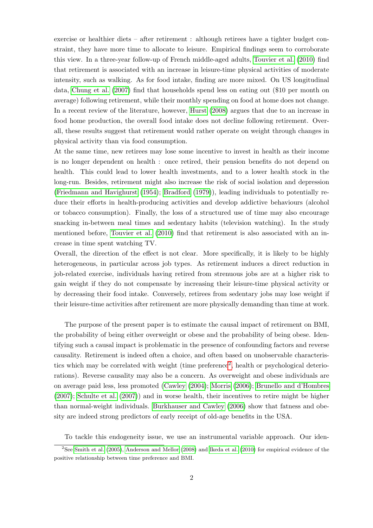exercise or healthier diets – after retirement : although retirees have a tighter budget constraint, they have more time to allocate to leisure. Empirical findings seem to corroborate this view. In a three-year follow-up of French middle-aged adults, Touvier et al. (2010) find that retirement is associated with an increase in leisure-time physical activities of moderate intensity, such as walking. As for food intake, finding are more mixed. On US longitudinal data, Chung et al. (2007) find that households spend less on eating out (\$10 per month on average) following retirement, while their monthly spending on food at home does not change. In a recent review of the literature, however, Hurst (2008) argues that due to an increase in food home production, the overall food intake does not decline following retirement. Overall, these results suggest that retirement would rather operate on weight through changes in physical activity than via food consumption.

At the same time, new retirees may lose some incentive to invest in health as their income is no longer dependent on health : once retired, their pension benefits do not depend on health. This could lead to lower health investments, and to a lower health stock in the long-run. Besides, retirement might also increase the risk of social isolation and depression (Friedmann and Havighurst (1954); Bradford (1979)), leading individuals to potentially reduce their efforts in health-producing activities and develop addictive behaviours (alcohol or tobacco consumption). Finally, the loss of a structured use of time may also encourage snacking in-between meal times and sedentary habits (television watching). In the study mentioned before, Touvier et al. (2010) find that retirement is also associated with an increase in time spent watching TV.

Overall, the direction of the effect is not clear. More specifically, it is likely to be highly heterogeneous, in particular across job types. As retirement induces a direct reduction in job-related exercise, individuals having retired from strenuous jobs are at a higher risk to gain weight if they do not compensate by increasing their leisure-time physical activity or by decreasing their food intake. Conversely, retirees from sedentary jobs may lose weight if their leisure-time activities after retirement are more physically demanding than time at work.

The purpose of the present paper is to estimate the causal impact of retirement on BMI, the probability of being either overweight or obese and the probability of being obese. Identifying such a causal impact is problematic in the presence of confounding factors and reverse causality. Retirement is indeed often a choice, and often based on unobservable characteristics which may be correlated with weight (time preference<sup>2</sup>, health or psychological deteriorations). Reverse causality may also be a concern. As overweight and obese individuals are on average paid less, less promoted (Cawley (2004); Morris (2006); Brunello and d'Hombres (2007); Schulte et al. (2007)) and in worse health, their incentives to retire might be higher than normal-weight individuals. Burkhauser and Cawley (2006) show that fatness and obesity are indeed strong predictors of early receipt of old-age benefits in the USA.

To tackle this endogeneity issue, we use an instrumental variable approach. Our iden-

<sup>&</sup>lt;sup>2</sup>See Smith et al. (2005), Anderson and Mellor (2008) and Ikeda et al. (2010) for empirical evidence of the positive relationship between time preference and BMI.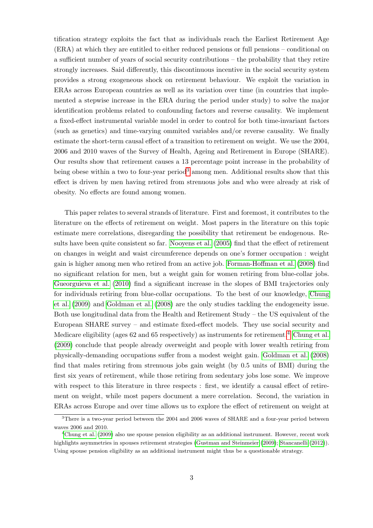tification strategy exploits the fact that as individuals reach the Earliest Retirement Age (ERA) at which they are entitled to either reduced pensions or full pensions – conditional on a sufficient number of years of social security contributions – the probability that they retire strongly increases. Said differently, this discontinuous incentive in the social security system provides a strong exogeneous shock on retirement behaviour. We exploit the variation in ERAs across European countries as well as its variation over time (in countries that implemented a stepwise increase in the ERA during the period under study) to solve the major identification problems related to confounding factors and reverse causality. We implement a fixed-effect instrumental variable model in order to control for both time-invariant factors (such as genetics) and time-varying ommited variables and/or reverse causality. We finally estimate the short-term causal effect of a transition to retirement on weight. We use the 2004, 2006 and 2010 waves of the Survey of Health, Ageing and Retirement in Europe (SHARE). Our results show that retirement causes a 13 percentage point increase in the probability of being obese within a two to four-year period<sup>3</sup> among men. Additional results show that this effect is driven by men having retired from strenuous jobs and who were already at risk of obesity. No effects are found among women.

This paper relates to several strands of literature. First and foremost, it contributes to the literature on the effects of retirement on weight. Most papers in the literature on this topic estimate mere correlations, disregarding the possibility that retirement be endogenous. Results have been quite consistent so far. Nooyens et al. (2005) find that the effect of retirement on changes in weight and waist circumference depends on one's former occupation : weight gain is higher among men who retired from an active job. Forman-Hoffman et al. (2008) find no significant relation for men, but a weight gain for women retiring from blue-collar jobs. Gueorguieva et al. (2010) find a significant increase in the slopes of BMI trajectories only for individuals retiring from blue-collar occupations. To the best of our knowledge, Chung et al. (2009) and Goldman et al. (2008) are the only studies tackling the endogeneity issue. Both use longitudinal data from the Health and Retirement Study – the US equivalent of the European SHARE survey – and estimate fixed-effect models. They use social security and Medicare eligibility (ages 62 and 65 respectively) as instruments for retirement.<sup>4</sup> Chung et al. (2009) conclude that people already overweight and people with lower wealth retiring from physically-demanding occupations suffer from a modest weight gain. Goldman et al. (2008) find that males retiring from strenuous jobs gain weight (by 0.5 units of BMI) during the first six years of retirement, while those retiring from sedentary jobs lose some. We improve with respect to this literature in three respects : first, we identify a causal effect of retirement on weight, while most papers document a mere correlation. Second, the variation in ERAs across Europe and over time allows us to explore the effect of retirement on weight at

 $3$ There is a two-year period between the 2004 and 2006 waves of SHARE and a four-year period between waves 2006 and 2010.

<sup>4</sup>Chung et al. (2009) also use spouse pension eligibility as an additional instrument. However, recent work highlights asymmetries in spouses retirement strategies (Gustman and Steinmeier (2009); Stancanelli (2012)). Using spouse pension eligibility as an additional instrument might thus be a questionable strategy.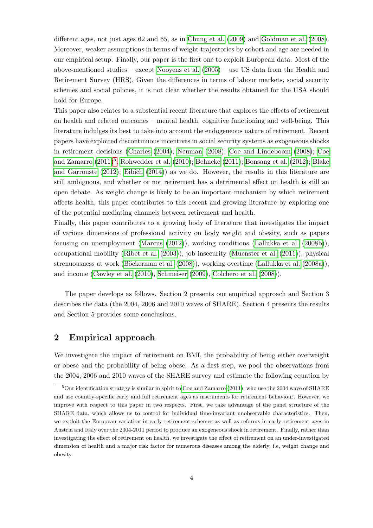different ages, not just ages 62 and 65, as in Chung et al. (2009) and Goldman et al. (2008). Moreover, weaker assumptions in terms of weight trajectories by cohort and age are needed in our empirical setup. Finally, our paper is the first one to exploit European data. Most of the above-mentioned studies – except Nooyens et al. (2005) – use US data from the Health and Retirement Survey (HRS). Given the differences in terms of labour markets, social security schemes and social policies, it is not clear whether the results obtained for the USA should hold for Europe.

This paper also relates to a substential recent literature that explores the effects of retirement on health and related outcomes – mental health, cognitive functioning and well-being. This literature indulges its best to take into account the endogeneous nature of retirement. Recent papers have exploited discontinuous incentives in social security systems as exogeneous shocks in retirement decisions (Charles (2004); Neuman (2008); Coe and Lindeboom (2008); Coe and Zamarro  $(2011)^5$ ; Rohwedder et al.  $(2010)$ ; Behncke  $(2011)$ ; Bonsang et al.  $(2012)$ ; Blake and Garrouste (2012); Eibich (2014)) as we do. However, the results in this literature are still ambiguous, and whether or not retirement has a detrimental effect on health is still an open debate. As weight change is likely to be an important mechanism by which retirement affects health, this paper contributes to this recent and growing literature by exploring one of the potential mediating channels between retirement and health.

Finally, this paper contributes to a growing body of literature that investigates the impact of various dimensions of professional activity on body weight and obesity, such as papers focusing on unemployment (Marcus (2012)), working conditions (Lallukka et al. (2008b)), occupational mobility (Ribet et al. (2003)), job insecurity (Muenster et al. (2011)), physical strenuousness at work (Böckerman et al. (2008)), working overtime (Lallukka et al. (2008a)), and income (Cawley et al. (2010), Schmeiser (2009), Colchero et al. (2008)).

The paper develops as follows. Section 2 presents our empirical approach and Section 3 describes the data (the 2004, 2006 and 2010 waves of SHARE). Section 4 presents the results and Section 5 provides some conclusions.

### 2 Empirical approach

We investigate the impact of retirement on BMI, the probability of being either overweight or obese and the probability of being obese. As a first step, we pool the observations from the 2004, 2006 and 2010 waves of the SHARE survey and estimate the following equation by

<sup>&</sup>lt;sup>5</sup>Our identification strategy is similar in spirit to Coe and Zamarro (2011), who use the 2004 wave of SHARE and use country-specific early and full retirement ages as instruments for retirement behaviour. However, we improve with respect to this paper in two respects. First, we take advantage of the panel structure of the SHARE data, which allows us to control for individual time-invariant unobservable characteristics. Then, we exploit the European variation in early retirement schemes as well as reforms in early retirement ages in Austria and Italy over the 2004-2011 period to produce an exogeneous shock in retirement. Finally, rather than investigating the effect of retirement on health, we investigate the effect of retirement on an under-investigated dimension of health and a major risk factor for numerous diseases among the elderly, i.e, weight change and obesity.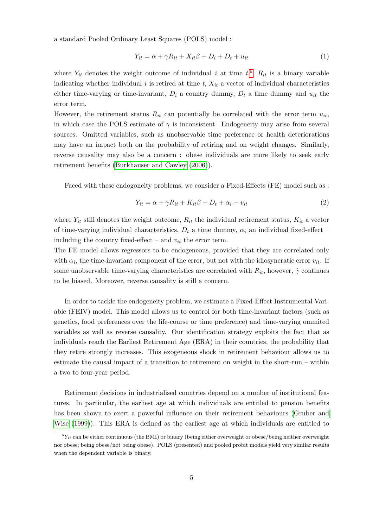a standard Pooled Ordinary Least Squares (POLS) model :

$$
Y_{it} = \alpha + \gamma R_{it} + X_{it}\beta + D_i + D_t + u_{it}
$$
\n<sup>(1)</sup>

where  $Y_{it}$  denotes the weight outcome of individual i at time  $t$ <sup>6</sup>  $R_{it}$  is a binary variable indicating whether individual i is retired at time  $t$ ,  $X_{it}$  a vector of individual characteristics either time-varying or time-invariant,  $D_i$  a country dummy,  $D_t$  a time dummy and  $u_{it}$  the error term.

However, the retirement status  $R_{it}$  can potentially be correlated with the error term  $u_{it}$ , in which case the POLS estimate of  $\gamma$  is inconsistent. Endogeneity may arise from several sources. Omitted variables, such as unobservable time preference or health deteriorations may have an impact both on the probability of retiring and on weight changes. Similarly, reverse causality may also be a concern : obese individuals are more likely to seek early retirement benefits (Burkhauser and Cawley (2006)).

Faced with these endogoneity problems, we consider a Fixed-Effects (FE) model such as :

$$
Y_{it} = \alpha + \gamma R_{it} + K_{it}\beta + D_t + \alpha_i + v_{it}
$$
\n<sup>(2)</sup>

where  $Y_{it}$  still denotes the weight outcome,  $R_{it}$  the individual retirement status,  $K_{it}$  a vector of time-varying individual characteristics,  $D_t$  a time dummy,  $\alpha_i$  an individual fixed-effect – including the country fixed-effect – and  $v_{it}$  the error term.

The FE model allows regressors to be endogeneous, provided that they are correlated only with  $\alpha_i$ , the time-invariant component of the error, but not with the idiosyncratic error  $v_{it}$ . If some unobservable time-varying characteristics are correlated with  $R_{it}$ , however,  $\hat{\gamma}$  continues to be biased. Moreover, reverse causality is still a concern.

In order to tackle the endogeneity problem, we estimate a Fixed-Effect Instrumental Variable (FEIV) model. This model allows us to control for both time-invariant factors (such as genetics, food preferences over the life-course or time preference) and time-varying ommited variables as well as reverse causality. Our identification strategy exploits the fact that as individuals reach the Earliest Retirement Age (ERA) in their countries, the probability that they retire strongly increases. This exogeneous shock in retirement behaviour allows us to estimate the causal impact of a transition to retirement on weight in the short-run – within a two to four-year period.

Retirement decisions in industrialised countries depend on a number of institutional features. In particular, the earliest age at which individuals are entitled to pension benefits has been shown to exert a powerful influence on their retirement behaviours (Gruber and Wise (1999)). This ERA is defined as the earliest age at which individuals are entitled to

 ${}^6Y_{it}$  can be either continuous (the BMI) or binary (being either overweight or obese/being neither overweight nor obese; being obese/not being obese). POLS (presented) and pooled probit models yield very similar results when the dependent variable is binary.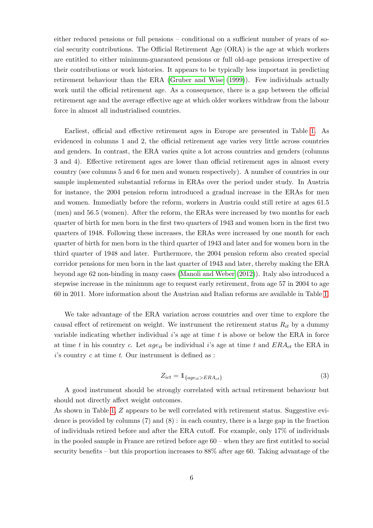either reduced pensions or full pensions – conditional on a sufficient number of years of social security contributions. The Official Retirement Age (ORA) is the age at which workers are entitled to either minimum-guaranteed pensions or full old-age pensions irrespective of their contributions or work histories. It appears to be typically less important in predicting retirement behaviour than the ERA (Gruber and Wise (1999)). Few individuals actually work until the official retirement age. As a consequence, there is a gap between the official retirement age and the average effective age at which older workers withdraw from the labour force in almost all industrialised countries.

Earliest, official and effective retirement ages in Europe are presented in Table 1. As evidenced in columns 1 and 2, the official retirement age varies very little across countries and genders. In contrast, the ERA varies quite a lot across countries and genders (columns 3 and 4). Effective retirement ages are lower than official retirement ages in almost every country (see columns 5 and 6 for men and women respectively). A number of countries in our sample implemented substantial reforms in ERAs over the period under study. In Austria for instance, the 2004 pension reform introduced a gradual increase in the ERAs for men and women. Immediatly before the reform, workers in Austria could still retire at ages 61.5 (men) and 56.5 (women). After the reform, the ERAs were increased by two months for each quarter of birth for men born in the first two quarters of 1943 and women born in the first two quarters of 1948. Following these increases, the ERAs were increased by one month for each quarter of birth for men born in the third quarter of 1943 and later and for women born in the third quarter of 1948 and later. Furthermore, the 2004 pension reform also created special corridor pensions for men born in the last quarter of 1943 and later, thereby making the ERA beyond age 62 non-binding in many cases (Manoli and Weber (2012)). Italy also introduced a stepwise increase in the minimum age to request early retirement, from age 57 in 2004 to age 60 in 2011. More information about the Austrian and Italian reforms are available in Table 1.

We take advantage of the ERA variation across countries and over time to explore the causal effect of retirement on weight. We instrument the retirement status  $R_{it}$  by a dummy variable indicating whether individual  $i$ 's age at time  $t$  is above or below the ERA in force at time t in his country c. Let  $age_{it}$  be individual i's age at time t and  $ERA_{ct}$  the ERA in  $i$ 's country  $c$  at time  $t$ . Our instrument is defined as :

$$
Z_{ict} = 1_{\{age_{it} > ERA_{ct}\}} \tag{3}
$$

A good instrument should be strongly correlated with actual retirement behaviour but should not directly affect weight outcomes.

As shown in Table 1, Z appears to be well correlated with retirement status. Suggestive evidence is provided by columns  $(7)$  and  $(8)$ : in each country, there is a large gap in the fraction of individuals retired before and after the ERA cutoff. For example, only 17% of individuals in the pooled sample in France are retired before age 60 – when they are first entitled to social security benefits – but this proportion increases to 88% after age 60. Taking advantage of the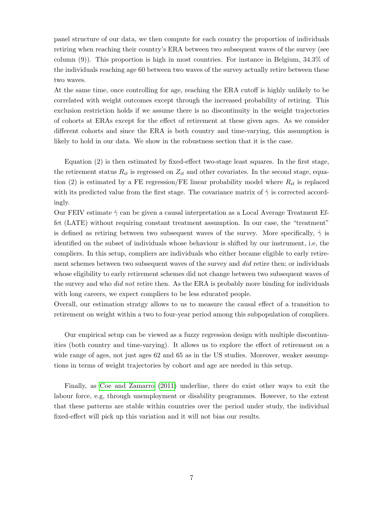panel structure of our data, we then compute for each country the proportion of individuals retiring when reaching their country's ERA between two subsequent waves of the survey (see column (9)). This proportion is high in most countries. For instance in Belgium, 34.3% of the individuals reaching age 60 between two waves of the survey actually retire between these two waves.

At the same time, once controlling for age, reaching the ERA cutoff is highly unlikely to be correlated with weight outcomes except through the increased probability of retiring. This exclusion restriction holds if we assume there is no discontinuity in the weight trajectories of cohorts at ERAs except for the effect of retirement at these given ages. As we consider different cohorts and since the ERA is both country and time-varying, this assumption is likely to hold in our data. We show in the robustness section that it is the case.

Equation (2) is then estimated by fixed-effect two-stage least squares. In the first stage, the retirement status  $R_{it}$  is regressed on  $Z_{it}$  and other covariates. In the second stage, equation (2) is estimated by a FE regression/FE linear probability model where  $R_{it}$  is replaced with its predicted value from the first stage. The covariance matrix of  $\hat{\gamma}$  is corrected accordingly.

Our FEIV estimate  $\hat{\gamma}$  can be given a causal interpretation as a Local Average Treatment Effet (LATE) without requiring constant treatment assumption. In our case, the "treatment" is defined as retiring between two subsequent waves of the survey. More specifically,  $\hat{\gamma}$  is identified on the subset of individuals whose behaviour is shifted by our instrument, i.e, the compliers. In this setup, compliers are individuals who either became eligible to early retirement schemes between two subsequent waves of the survey and *did* retire then; or individuals whose eligibility to early retirement schemes did not change between two subsequent waves of the survey and who did not retire then. As the ERA is probably more binding for individuals with long careers, we expect compliers to be less educated people.

Overall, our estimation stratgy allows to us to measure the causal effect of a transition to retirement on weight within a two to four-year period among this subpopulation of compliers.

Our empirical setup can be viewed as a fuzzy regression design with multiple discontinuities (both country and time-varying). It allows us to explore the effect of retirement on a wide range of ages, not just ages 62 and 65 as in the US studies. Moreover, weaker assumptions in terms of weight trajectories by cohort and age are needed in this setup.

Finally, as Coe and Zamarro (2011) underline, there do exist other ways to exit the labour force, e.g, through unemployment or disability programmes. However, to the extent that these patterns are stable within countries over the period under study, the individual fixed-effect will pick up this variation and it will not bias our results.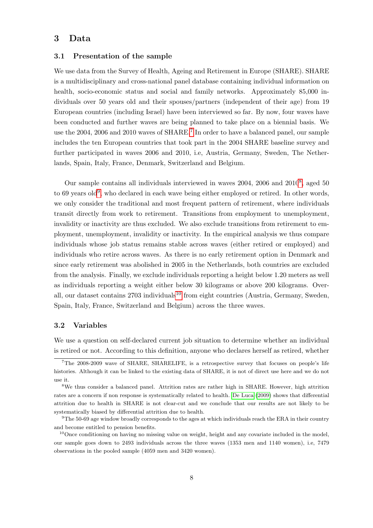### 3 Data

#### 3.1 Presentation of the sample

We use data from the Survey of Health, Ageing and Retirement in Europe (SHARE). SHARE is a multidisciplinary and cross-national panel database containing individual information on health, socio-economic status and social and family networks. Approximately 85,000 individuals over 50 years old and their spouses/partners (independent of their age) from 19 European countries (including Israel) have been interviewed so far. By now, four waves have been conducted and further waves are being planned to take place on a biennial basis. We use the 2004, 2006 and 2010 waves of SHARE.<sup>7</sup> In order to have a balanced panel, our sample includes the ten European countries that took part in the 2004 SHARE baseline survey and further participated in waves 2006 and 2010, i.e, Austria, Germany, Sweden, The Netherlands, Spain, Italy, France, Denmark, Switzerland and Belgium.

Our sample contains all individuals interviewed in waves 2004, 2006 and 2010<sup>8</sup>, aged 50 to 69 years old<sup>9</sup>, who declared in each wave being either employed or retired. In other words, we only consider the traditional and most frequent pattern of retirement, where individuals transit directly from work to retirement. Transitions from employment to unemployment, invalidity or inactivity are thus excluded. We also exclude transitions from retirement to employment, unemployment, invalidity or inactivity. In the empirical analysis we thus compare individuals whose job status remains stable across waves (either retired or employed) and individuals who retire across waves. As there is no early retirement option in Denmark and since early retirement was abolished in 2005 in the Netherlands, both countries are excluded from the analysis. Finally, we exclude individuals reporting a height below 1.20 meters as well as individuals reporting a weight either below 30 kilograms or above 200 kilograms. Overall, our dataset contains  $2703$  individuals<sup>10</sup> from eight countries (Austria, Germany, Sweden, Spain, Italy, France, Switzerland and Belgium) across the three waves.

#### 3.2 Variables

We use a question on self-declared current job situation to determine whether an individual is retired or not. According to this definition, anyone who declares herself as retired, whether

<sup>7</sup>The 2008-2009 wave of SHARE, SHARELIFE, is a retrospective survey that focuses on people's life histories. Although it can be linked to the existing data of SHARE, it is not of direct use here and we do not use it.

<sup>8</sup>We thus consider a balanced panel. Attrition rates are rather high in SHARE. However, high attrition rates are a concern if non response is systematically related to health. De Luca (2009) shows that differential attrition due to health in SHARE is not clear-cut and we conclude that our results are not likely to be systematically biased by differential attrition due to health.

 $^{9}$ The 50-69 age window broadly corresponds to the ages at which individuals reach the ERA in their country and become entitled to pension benefits.

 $10$ Once conditioning on having no missing value on weight, height and any covariate included in the model, our sample goes down to 2493 individuals across the three waves (1353 men and 1140 women), i.e, 7479 observations in the pooled sample (4059 men and 3420 women).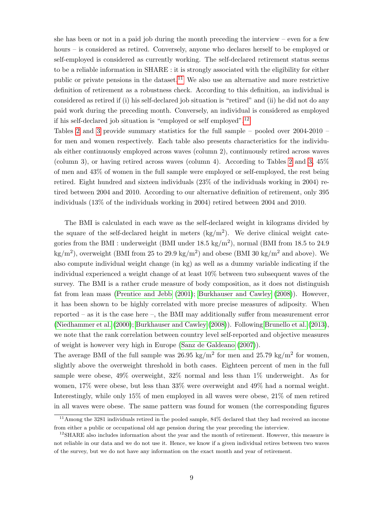she has been or not in a paid job during the month preceding the interview – even for a few hours – is considered as retired. Conversely, anyone who declares herself to be employed or self-employed is considered as currently working. The self-declared retirement status seems to be a reliable information in SHARE : it is strongly associated with the eligibility for either public or private pensions in the dataset.<sup>11</sup> We also use an alternative and more restrictive definition of retirement as a robustness check. According to this definition, an individual is considered as retired if (i) his self-declared job situation is "retired" and (ii) he did not do any paid work during the preceding month. Conversely, an individual is considered as employed if his self-declared job situation is "employed or self employed".12

Tables 2 and 3 provide summary statistics for the full sample – pooled over 2004-2010 – for men and women respectively. Each table also presents characteristics for the individuals either continuously employed across waves (column 2), continuously retired across waves (column 3), or having retired across waves (column 4). According to Tables 2 and 3, 45% of men and 43% of women in the full sample were employed or self-employed, the rest being retired. Eight hundred and sixteen individuals (23% of the individuals working in 2004) retired between 2004 and 2010. According to our alternative definition of retirement, only 395 individuals (13% of the individuals working in 2004) retired between 2004 and 2010.

The BMI is calculated in each wave as the self-declared weight in kilograms divided by the square of the self-declared height in meters  $(kg/m<sup>2</sup>)$ . We derive clinical weight categories from the BMI : underweight (BMI under  $18.5 \text{ kg/m}^2$ ), normal (BMI from 18.5 to 24.9  $\text{kg/m}^2$ ), overweight (BMI from 25 to 29.9 kg/m<sup>2</sup>) and obese (BMI 30 kg/m<sup>2</sup> and above). We also compute individual weight change (in kg) as well as a dummy variable indicating if the individual experienced a weight change of at least 10% between two subsequent waves of the survey. The BMI is a rather crude measure of body composition, as it does not distinguish fat from lean mass (Prentice and Jebb (2001); Burkhauser and Cawley (2008)). However, it has been shown to be highly correlated with more precise measures of adiposity. When reported – as it is the case here –, the BMI may additionally suffer from measurement error (Niedhammer et al. (2000); Burkhauser and Cawley (2008)). Following Brunello et al. (2013), we note that the rank correlation between country level self-reported and objective measures of weight is however very high in Europe (Sanz de Galdeano (2007)).

The average BMI of the full sample was  $26.95 \text{ kg/m}^2$  for men and  $25.79 \text{ kg/m}^2$  for women, slightly above the overweight threshold in both cases. Eighteen percent of men in the full sample were obese, 49% overweight, 32% normal and less than 1% underweight. As for women, 17% were obese, but less than 33% were overweight and 49% had a normal weight. Interestingly, while only 15% of men employed in all waves were obese, 21% of men retired in all waves were obese. The same pattern was found for women (the corresponding figures

<sup>11</sup>Among the 3281 individuals retired in the pooled sample, 84% declared that they had received an income from either a public or occupational old age pension during the year preceding the interview.

 $12\,\text{SHARE}$  also includes information about the year and the month of retirement. However, this measure is not reliable in our data and we do not use it. Hence, we know if a given individual retires between two waves of the survey, but we do not have any information on the exact month and year of retirement.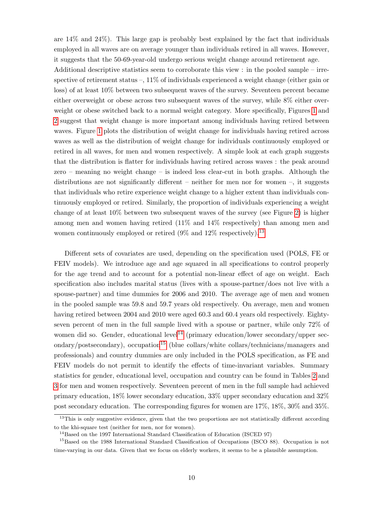are  $14\%$  and  $24\%$ ). This large gap is probably best explained by the fact that individuals employed in all waves are on average younger than individuals retired in all waves. However, it suggests that the 50-69-year-old undergo serious weight change around retirement age.

Additional descriptive statistics seem to corroborate this view : in the pooled sample – irrespective of retirement status  $-$ , 11% of individuals experienced a weight change (either gain or loss) of at least 10% between two subsequent waves of the survey. Seventeen percent became either overweight or obese across two subsequent waves of the survey, while 8% either overweight or obese switched back to a normal weight category. More specifically, Figures 1 and 2 suggest that weight change is more important among individuals having retired between waves. Figure 1 plots the distribution of weight change for individuals having retired across waves as well as the distribution of weight change for individuals continuously employed or retired in all waves, for men and women respectively. A simple look at each graph suggests that the distribution is flatter for individuals having retired across waves : the peak around zero – meaning no weight change – is indeed less clear-cut in both graphs. Although the distributions are not significantly different – neither for men nor for women –, it suggests that individuals who retire experience weight change to a higher extent than individuals continuously employed or retired. Similarly, the proportion of individuals experiencing a weight change of at least 10% between two subsequent waves of the survey (see Figure 2) is higher among men and women having retired (11% and 14% respectively) than among men and women continuously employed or retired  $(9\%$  and  $12\%$  respectively).<sup>13</sup>

Different sets of covariates are used, depending on the specification used (POLS, FE or FEIV models). We introduce age and age squared in all specifications to control properly for the age trend and to account for a potential non-linear effect of age on weight. Each specification also includes marital status (lives with a spouse-partner/does not live with a spouse-partner) and time dummies for 2006 and 2010. The average age of men and women in the pooled sample was 59.8 and 59.7 years old respectively. On average, men and women having retired between 2004 and 2010 were aged 60.3 and 60.4 years old respectively. Eightyseven percent of men in the full sample lived with a spouse or partner, while only 72% of women did so. Gender, educational level<sup>14</sup> (primary education/lower secondary/upper secondary/postsecondary), occupation<sup>15</sup> (blue collars/white collars/technicians/managers and professionals) and country dummies are only included in the POLS specification, as FE and FEIV models do not permit to identify the effects of time-invariant variables. Summary statistics for gender, educational level, occupation and country can be found in Tables 2 and 3 for men and women respectively. Seventeen percent of men in the full sample had achieved primary education, 18% lower secondary education, 33% upper secondary education and 32% post secondary education. The corresponding figures for women are 17%, 18%, 30% and 35%.

<sup>&</sup>lt;sup>13</sup>This is only suggestive evidence, given that the two proportions are not statistically different according to the khi-square test (neither for men, nor for women).

<sup>&</sup>lt;sup>14</sup>Based on the 1997 International Standard Classification of Education (ISCED 97)

<sup>&</sup>lt;sup>15</sup>Based on the 1988 International Standard Classification of Occupations (ISCO 88). Occupation is not time-varying in our data. Given that we focus on elderly workers, it seems to be a plausible assumption.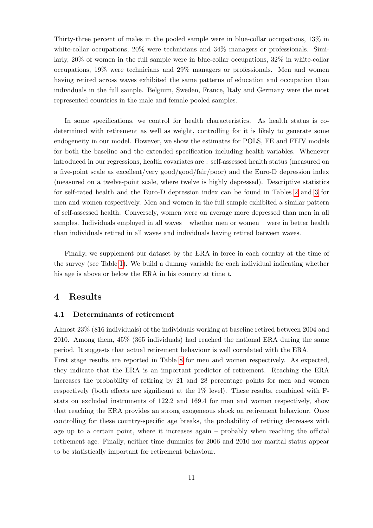Thirty-three percent of males in the pooled sample were in blue-collar occupations, 13% in white-collar occupations,  $20\%$  were technicians and  $34\%$  managers or professionals. Similarly, 20% of women in the full sample were in blue-collar occupations, 32% in white-collar occupations, 19% were technicians and 29% managers or professionals. Men and women having retired across waves exhibited the same patterns of education and occupation than individuals in the full sample. Belgium, Sweden, France, Italy and Germany were the most represented countries in the male and female pooled samples.

In some specifications, we control for health characteristics. As health status is codetermined with retirement as well as weight, controlling for it is likely to generate some endogeneity in our model. However, we show the estimates for POLS, FE and FEIV models for both the baseline and the extended specification including health variables. Whenever introduced in our regressions, health covariates are : self-assessed health status (measured on a five-point scale as excellent/very good/good/fair/poor) and the Euro-D depression index (measured on a twelve-point scale, where twelve is highly depressed). Descriptive statistics for self-rated health and the Euro-D depression index can be found in Tables 2 and 3 for men and women respectively. Men and women in the full sample exhibited a similar pattern of self-assessed health. Conversely, women were on average more depressed than men in all samples. Individuals employed in all waves – whether men or women – were in better health than individuals retired in all waves and individuals having retired between waves.

Finally, we supplement our dataset by the ERA in force in each country at the time of the survey (see Table 1). We build a dummy variable for each individual indicating whether his age is above or below the ERA in his country at time t.

### 4 Results

#### 4.1 Determinants of retirement

Almost 23% (816 individuals) of the individuals working at baseline retired between 2004 and 2010. Among them, 45% (365 individuals) had reached the national ERA during the same period. It suggests that actual retirement behaviour is well correlated with the ERA.

First stage results are reported in Table 8 for men and women respectively. As expected, they indicate that the ERA is an important predictor of retirement. Reaching the ERA increases the probability of retiring by 21 and 28 percentage points for men and women respectively (both effects are significant at the 1% level). These results, combined with Fstats on excluded instruments of 122.2 and 169.4 for men and women respectively, show that reaching the ERA provides an strong exogeneous shock on retirement behaviour. Once controlling for these country-specific age breaks, the probability of retiring decreases with age up to a certain point, where it increases again – probably when reaching the official retirement age. Finally, neither time dummies for 2006 and 2010 nor marital status appear to be statistically important for retirement behaviour.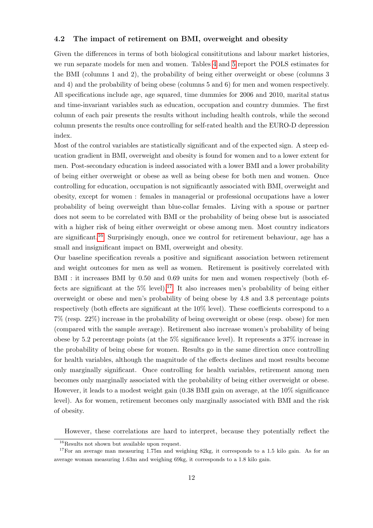#### 4.2 The impact of retirement on BMI, overweight and obesity

Given the differences in terms of both biological consitiuations and labour market histories, we run separate models for men and women. Tables 4 and 5 report the POLS estimates for the BMI (columns 1 and 2), the probability of being either overweight or obese (columns 3 and 4) and the probability of being obese (columns 5 and 6) for men and women respectively. All specifications include age, age squared, time dummies for 2006 and 2010, marital status and time-invariant variables such as education, occupation and country dummies. The first column of each pair presents the results without including health controls, while the second column presents the results once controlling for self-rated health and the EURO-D depression index.

Most of the control variables are statistically significant and of the expected sign. A steep education gradient in BMI, overweight and obesity is found for women and to a lower extent for men. Post-secondary education is indeed associated with a lower BMI and a lower probability of being either overweight or obese as well as being obese for both men and women. Once controlling for education, occupation is not significantly associated with BMI, overweight and obesity, except for women : females in managerial or professional occupations have a lower probability of being overweight than blue-collar females. Living with a spouse or partner does not seem to be correlated with BMI or the probability of being obese but is associated with a higher risk of being either overweight or obese among men. Most country indicators are significant.16 Surprisingly enough, once we control for retirement behaviour, age has a small and insignificant impact on BMI, overweight and obesity.

Our baseline specification reveals a positive and significant association between retirement and weight outcomes for men as well as women. Retirement is positively correlated with BMI : it increases BMI by 0.50 and 0.69 units for men and women respectively (both effects are significant at the  $5\%$  level).<sup>17</sup> It also increases men's probability of being either overweight or obese and men's probability of being obese by 4.8 and 3.8 percentage points respectively (both effects are significant at the 10% level). These coefficients correspond to a 7% (resp. 22%) increase in the probability of being overweight or obese (resp. obese) for men (compared with the sample average). Retirement also increase women's probability of being obese by 5.2 percentage points (at the 5% significance level). It represents a 37% increase in the probability of being obese for women. Results go in the same direction once controlling for health variables, although the magnitude of the effects declines and most results become only marginally significant. Once controlling for health variables, retirement among men becomes only marginally associated with the probability of being either overweight or obese. However, it leads to a modest weight gain (0.38 BMI gain on average, at the 10% significance level). As for women, retirement becomes only marginally associated with BMI and the risk of obesity.

However, these correlations are hard to interpret, because they potentially reflect the

<sup>16</sup>Results not shown but available upon request.

<sup>&</sup>lt;sup>17</sup>For an average man measuring 1.75m and weighing 82kg, it corresponds to a 1.5 kilo gain. As for an average woman measuring 1.63m and weighing 69kg, it corresponds to a 1.8 kilo gain.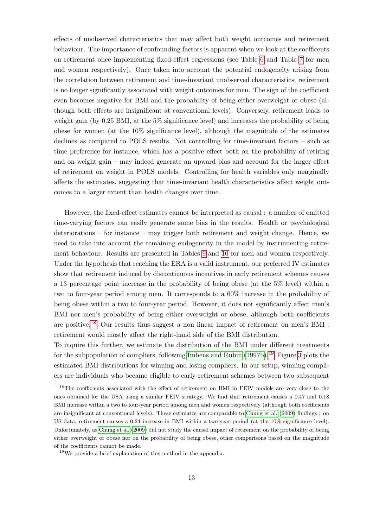effects of unobserved characteristics that may affect both weight outcomes and retirement behaviour. The importance of confounding factors is apparent when we look at the coefficents on retirement once implementing fixed-effect regressions (see Table 6 and Table 7 for men and women respectively). Once taken into account the potential endogeneity arising from the correlation between retirement and time-invariant unobserved characteristics, retirement is no longer significantly associated with weight outcomes for men. The sign of the coefficient even becomes negative for BMI and the probability of being either overweight or obese (although both effects are insignificant at conventional levels). Conversely, retirement leads to weight gain (by 0.25 BMI, at the 5% significance level) and increases the probability of being obese for women (at the 10% significance level), although the magnitude of the estimates declines as compared to POLS results. Not controlling for time-invariant factors – such as time preference for instance, which has a positive effect both on the probability of retiring and on weight gain – may indeed generate an upward bias and account for the larger effect of retirement on weight in POLS models. Controlling for health variables only marginally affects the estimates, suggesting that time-invariant health characteristics affect weight outcomes to a larger extent than health changes over time.

However, the fixed-effect estimates cannot be interpreted as causal : a number of omitted time-varying factors can easily generate some bias in the results. Health or psychological deteriorations – for instance – may trigger both retirement and weight change. Hence, we need to take into account the remaining endogeneity in the model by instrumenting retirement behaviour. Results are presented in Tables 9 and 10 for men and women respectively. Under the hypothesis that reaching the ERA is a valid instrument, our preferred IV estimates show that retirement induced by discontinuous incentives in early retirement schemes causes a 13 percentage point increase in the probability of being obese (at the 5% level) within a two to four-year period among men. It corresponds to a 60% increase in the probability of being obese within a two to four-year period. However, it does not significantly affect men's BMI nor men's probability of being either overweight or obese, although both coefficients are positive.18 Our results thus suggest a non linear impact of retirement on men's BMI : retirement would mostly affect the right-hand side of the BMI distribution.

To inquire this further, we estimate the distribution of the BMI under different treatments for the subpopulation of compliers, following Imbens and Rubin  $(1997b)$ .<sup>19</sup> Figure 3 plots the estimated BMI distributions for winning and losing compliers. In our setup, winning compliers are individuals who became eligible to early retirement schemes between two subsequent

<sup>&</sup>lt;sup>18</sup>The coefficients associated with the effect of retirement on BMI in FEIV models are very close to the ones obtained for the USA using a similar FEIV strategy. We find that retirement causes a 0.47 and 0.18 BMI increase within a two to four-year period among men and women respectively (although both coefficients are insignificant at conventional levels). These estimates are comparable to Chung et al. (2009) findings : on US data, retirement causes a 0.24 increase in BMI within a two-year period (at the 10% significance level). Unfortunately, as Chung et al. (2009) did not study the causal impact of retirement on the probability of being either overweight or obese nor on the probability of being obese, other comparisons based on the magnitude of the coefficients cannot be made.

 $^{19}{\rm{We}}$  provide a brief explanation of this method in the appendix.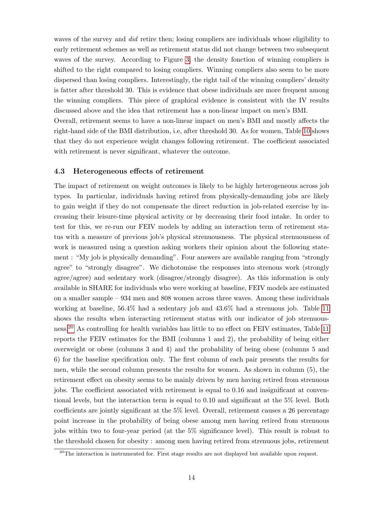waves of the survey and *did* retire then; losing compliers are individuals whose eligibility to early retirement schemes as well as retirement status did not change between two subsequent waves of the survey. According to Figure 3, the density fonction of winning compliers is shifted to the right compared to losing compliers. Winning compliers also seem to be more dispersed than losing compliers. Interestingly, the right tail of the winning compliers' density is fatter after threshold 30. This is evidence that obese individuals are more frequent among the winning compliers. This piece of graphical evidence is consistent with the IV results discussed above and the idea that retirement has a non-linear impact on men's BMI.

Overall, retirement seems to have a non-linear impact on men's BMI and mostly affects the right-hand side of the BMI distribution, i.e, after threshold 30. As for women, Table 10 shows that they do not experience weight changes following retirement. The coefficient associated with retirement is never significant, whatever the outcome.

#### 4.3 Heterogeneous effects of retirement

The impact of retirement on weight outcomes is likely to be highly heterogeneous across job types. In particular, individuals having retired from physically-demanding jobs are likely to gain weight if they do not compensate the direct reduction in job-related exercise by increasing their leisure-time physical activity or by decreasing their food intake. In order to test for this, we re-run our FEIV models by adding an interaction term of retirement status with a measure of previous job's physical strenuousness. The physical strenuousness of work is measured using a question asking workers their opinion about the following statement : "My job is physically demanding". Four answers are available ranging from "strongly agree" to "strongly disagree". We dichotomise the responses into strenous work (strongly agree/agree) and sedentary work (disagree/strongly disagree). As this information is only available in SHARE for individuals who were working at baseline, FEIV models are estimated on a smaller sample – 934 men and 808 women across three waves. Among these individuals working at baseline, 56.4% had a sedentary job and 43.6% had a strenuous job. Table 11 shows the results when interacting retirement status with our indicator of job strenuousness.20 As controlling for health variables has little to no effect on FEIV estimates, Table 11 reports the FEIV estimates for the BMI (columns 1 and 2), the probability of being either overweight or obese (columns 3 and 4) and the probability of being obese (columns 5 and 6) for the baseline specification only. The first column of each pair presents the results for men, while the second column presents the results for women. As shown in column (5), the retirement effect on obesity seems to be mainly driven by men having retired from strenuous jobs. The coefficient associated with retirement is equal to 0.16 and insignificant at conventional levels, but the interaction term is equal to 0.10 and significant at the 5% level. Both coefficients are jointly significant at the 5% level. Overall, retirement causes a 26 percentage point increase in the probability of being obese among men having retired from strenuous jobs within two to four-year period (at the 5% significance level). This result is robust to the threshold chosen for obesity : among men having retired from strenuous jobs, retirement

 $20$ The interaction is instrumented for. First stage results are not displayed but available upon request.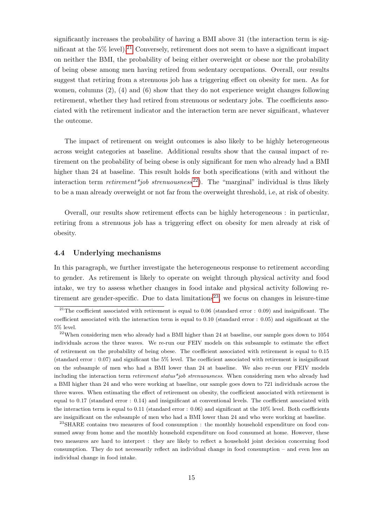significantly increases the probability of having a BMI above 31 (the interaction term is significant at the  $5\%$  level).<sup>21</sup> Conversely, retirement does not seem to have a significant impact on neither the BMI, the probability of being either overweight or obese nor the probability of being obese among men having retired from sedentary occupations. Overall, our results suggest that retiring from a strenuous job has a triggering effect on obesity for men. As for women, columns (2), (4) and (6) show that they do not experience weight changes following retirement, whether they had retired from strenuous or sedentary jobs. The coefficients associated with the retirement indicator and the interaction term are never significant, whatever the outcome.

The impact of retirement on weight outcomes is also likely to be highly heterogeneous across weight categories at baseline. Additional results show that the causal impact of retirement on the probability of being obese is only significant for men who already had a BMI higher than 24 at baseline. This result holds for both specifications (with and without the interaction term *retirement*<sup>\*</sup>job strenuousness<sup>22</sup>). The "marginal" individual is thus likely to be a man already overweight or not far from the overweight threshold, i.e, at risk of obesity.

Overall, our results show retirement effects can be highly heterogeneous : in particular, retiring from a strenuous job has a triggering effect on obesity for men already at risk of obesity.

#### 4.4 Underlying mechanisms

In this paragraph, we further investigate the heterogeneous response to retirement according to gender. As retirement is likely to operate on weight through physical activity and food intake, we try to assess whether changes in food intake and physical activity following retirement are gender-specific. Due to data limitations<sup>23</sup>, we focus on changes in leisure-time

<sup>&</sup>lt;sup>21</sup>The coefficient associated with retirement is equal to 0.06 (standard error : 0.09) and insignificant. The coefficient associated with the interaction term is equal to 0.10 (standard error : 0.05) and significant at the 5% level.

 $22$ When considering men who already had a BMI higher than 24 at baseline, our sample goes down to 1054 individuals across the three waves. We re-run our FEIV models on this subsample to estimate the effect of retirement on the probability of being obese. The coefficient associated with retirement is equal to 0.15 (standard error : 0.07) and significant the 5% level. The coefficient associated with retirement is insignificant on the subsample of men who had a BMI lower than 24 at baseline. We also re-run our FEIV models including the interaction term retirement status\*job strenuousness. When considering men who already had a BMI higher than 24 and who were working at baseline, our sample goes down to 721 individuals across the three waves. When estimating the effect of retirement on obesity, the coefficient associated with retirement is equal to 0.17 (standard error : 0.14) and insignificant at conventional levels. The coefficient associated with the interaction term is equal to 0.11 (standard error : 0.06) and significant at the 10% level. Both coefficients are insignificant on the subsample of men who had a BMI lower than 24 and who were working at baseline.

<sup>&</sup>lt;sup>23</sup>SHARE contains two measures of food consumption : the monthly household expenditure on food consumed away from home and the monthly household expenditure on food consumed at home. However, these two measures are hard to interpret : they are likely to reflect a household joint decision concerning food consumption. They do not necessarily reflect an individual change in food consumption – and even less an individual change in food intake.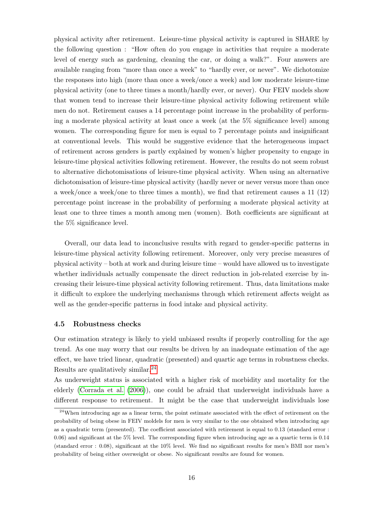physical activity after retirement. Leisure-time physical activity is captured in SHARE by the following question : "How often do you engage in activities that require a moderate level of energy such as gardening, cleaning the car, or doing a walk?". Four answers are available ranging from "more than once a week" to "hardly ever, or never". We dichotomize the responses into high (more than once a week/once a week) and low moderate leisure-time physical activity (one to three times a month/hardly ever, or never). Our FEIV models show that women tend to increase their leisure-time physical activity following retirement while men do not. Retirement causes a 14 percentage point increase in the probability of performing a moderate physical activity at least once a week (at the 5% significance level) among women. The corresponding figure for men is equal to 7 percentage points and insignificant at conventional levels. This would be suggestive evidence that the heterogeneous impact of retirement across genders is partly explained by women's higher propensity to engage in leisure-time physical activities following retirement. However, the results do not seem robust to alternative dichotomisations of leisure-time physical activity. When using an alternative dichotomisation of leisure-time physical activity (hardly never or never versus more than once a week/once a week/one to three times a month), we find that retirement causes a 11 (12) percentage point increase in the probability of performing a moderate physical activity at least one to three times a month among men (women). Both coefficients are significant at the 5% significance level.

Overall, our data lead to inconclusive results with regard to gender-specific patterns in leisure-time physical activity following retirement. Moreover, only very precise measures of physical activity – both at work and during leisure time – would have allowed us to investigate whether individuals actually compensate the direct reduction in job-related exercise by increasing their leisure-time physical activity following retirement. Thus, data limitations make it difficult to explore the underlying mechanisms through which retirement affects weight as well as the gender-specific patterns in food intake and physical activity.

#### 4.5 Robustness checks

Our estimation strategy is likely to yield unbiased results if properly controlling for the age trend. As one may worry that our results be driven by an inadequate estimation of the age effect, we have tried linear, quadratic (presented) and quartic age terms in robustness checks. Results are qualitatively similar.24

As underweight status is associated with a higher risk of morbidity and mortality for the elderly (Corrada et al. (2006)), one could be afraid that underweight individuals have a different response to retirement. It might be the case that underweight individuals lose

<sup>&</sup>lt;sup>24</sup>When introducing age as a linear term, the point estimate associated with the effect of retirement on the probability of being obese in FEIV moldels for men is very similar to the one obtained when introducing age as a quadratic term (presented). The coefficient associated with retirement is equal to 0.13 (standard error : 0.06) and significant at the 5% level. The corresponding figure when introducing age as a quartic term is 0.14 (standard error : 0.08), significant at the 10% level. We find no significant results for men's BMI nor men's probability of being either overweight or obese. No significant results are found for women.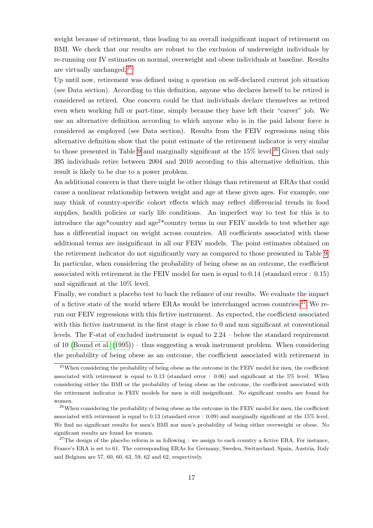weight because of retirement, thus leading to an overall insignificant impact of retirement on BMI. We check that our results are robust to the exclusion of underweight individuals by re-running our IV estimates on normal, overweight and obese individuals at baseline. Results are virtually unchanged.25

Up until now, retirement was defined using a question on self-declared current job situation (see Data section). According to this definition, anyone who declares herself to be retired is considered as retired. One concern could be that individuals declare themselves as retired even when working full or part-time, simply because they have left their "career" job. We use an alternative definition according to which anyone who is in the paid labour force is considered as employed (see Data section). Results from the FEIV regressions using this alternative definition show that the point estimate of the retirement indicator is very similar to those presented in Table 9 and marginally significant at the  $15\%$  level.<sup>26</sup> Given that only 395 individuals retire between 2004 and 2010 according to this alternative definition, this result is likely to be due to a power problem.

An additional concern is that there might be other things than retirement at ERAs that could cause a nonlinear relationship between weight and age at these given ages. For example, one may think of country-specific cohort effects which may reflect differencial trends in food supplies, health policies or early life conditions. An imperfect way to test for this is to introduce the age\*country and  $\text{age}^2*$ country terms in our FEIV models to test whether age has a differential impact on weight across countries. All coefficients associated with these additional terms are insignificant in all our FEIV models. The point estimates obtained on the retirement indicator do not significantly vary as compared to those presented in Table 9. In particular, when considering the probability of being obese as an outcome, the coefficient associated with retirement in the FEIV model for men is equal to 0.14 (standard error : 0.15) and significant at the 10% level.

Finally, we conduct a placebo test to back the reliance of our results. We evaluate the impact of a fictive state of the world where ERAs would be interchanged across countries.27 We rerun our FEIV regressions with this fictive instrument. As expected, the coefficient associated with this fictive instrument in the first stage is close to 0 and non significant at conventional levels. The F-stat of excluded instrument is equal to 2.24 – below the standard requirement of 10 (Bound et al. (1995)) – thus suggesting a weak instrument problem. When considering the probability of being obese as an outcome, the coefficient associated with retirement in

<sup>&</sup>lt;sup>25</sup>When considering the probability of being obese as the outcome in the FEIV model for men, the coefficient associated with retirement is equal to 0.13 (standard error : 0.06) and significant at the 5% level. When considering either the BMI or the probability of being obese as the outcome, the coefficient associated with the retirement indicator in FEIV models for men is still insignificant. No significant results are found for women.

<sup>&</sup>lt;sup>26</sup>When considering the probability of being obese as the outcome in the FEIV model for men, the coefficient associated with retirement is equal to 0.13 (standard error : 0.09) and marginally significant at the 15% level. We find no significant results for men's BMI nor men's probability of being either overweight or obese. No significant results are found for women.

 $27$ The design of the placebo reform is as following : we assign to each country a fictive ERA. For instance, France's ERA is set to 61. The corresponding ERAs for Germany, Sweden, Switzerland, Spain, Austria, Italy and Belgium are 57, 60, 60, 63, 59, 62 and 62, respectively.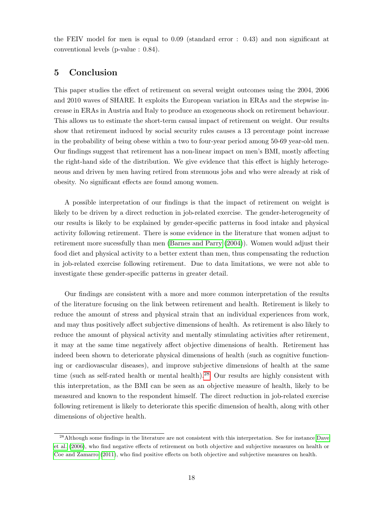the FEIV model for men is equal to 0.09 (standard error : 0.43) and non significant at conventional levels (p-value : 0.84).

### 5 Conclusion

This paper studies the effect of retirement on several weight outcomes using the 2004, 2006 and 2010 waves of SHARE. It exploits the European variation in ERAs and the stepwise increase in ERAs in Austria and Italy to produce an exogeneous shock on retirement behaviour. This allows us to estimate the short-term causal impact of retirement on weight. Our results show that retirement induced by social security rules causes a 13 percentage point increase in the probability of being obese within a two to four-year period among 50-69 year-old men. Our findings suggest that retirement has a non-linear impact on men's BMI, mostly affecting the right-hand side of the distribution. We give evidence that this effect is highly heterogeneous and driven by men having retired from strenuous jobs and who were already at risk of obesity. No significant effects are found among women.

A possible interpretation of our findings is that the impact of retirement on weight is likely to be driven by a direct reduction in job-related exercise. The gender-heterogeneity of our results is likely to be explained by gender-specific patterns in food intake and physical activity following retirement. There is some evidence in the literature that women adjust to retirement more sucessfully than men (Barnes and Parry (2004)). Women would adjust their food diet and physical activity to a better extent than men, thus compensating the reduction in job-related exercise following retirement. Due to data limitations, we were not able to investigate these gender-specific patterns in greater detail.

Our findings are consistent with a more and more common interpretation of the results of the literature focusing on the link between retirement and health. Retirement is likely to reduce the amount of stress and physical strain that an individual experiences from work, and may thus positively affect subjective dimensions of health. As retirement is also likely to reduce the amount of physical activity and mentally stimulating activities after retirement, it may at the same time negatively affect objective dimensions of health. Retirement has indeed been shown to deteriorate physical dimensions of health (such as cognitive functioning or cardiovascular diseases), and improve subjective dimensions of health at the same time (such as self-rated health or mental health).<sup>28</sup> Our results are highly consistent with this interpretation, as the BMI can be seen as an objective measure of health, likely to be measured and known to the respondent himself. The direct reduction in job-related exercise following retirement is likely to deteriorate this specific dimension of health, along with other dimensions of objective health.

<sup>28</sup>Although some findings in the literature are not consistent with this interpretation. See for instance Dave et al. (2006), who find negative effects of retirement on both objective and subjective measures on health or Coe and Zamarro (2011), who find positive effects on both objective and subjective measures on health.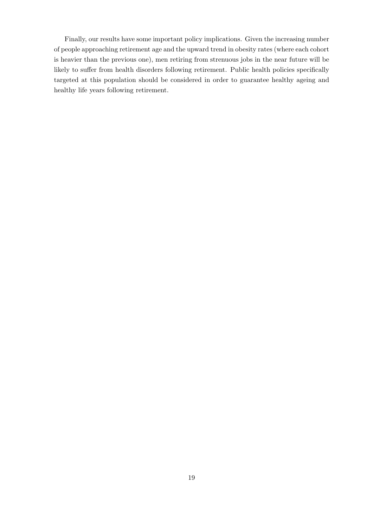Finally, our results have some important policy implications. Given the increasing number of people approaching retirement age and the upward trend in obesity rates (where each cohort is heavier than the previous one), men retiring from strenuous jobs in the near future will be likely to suffer from health disorders following retirement. Public health policies specifically targeted at this population should be considered in order to guarantee healthy ageing and healthy life years following retirement.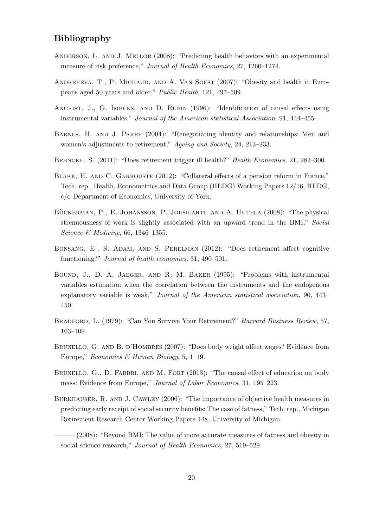## Bibliography

- Anderson, L. and J. Mellor (2008): "Predicting health behaviors with an experimental measure of risk preference," Journal of Health Economics, 27, 1260–1274.
- ANDREYEVA, T., P. MICHAUD, AND A. VAN SOEST (2007): "Obesity and health in Europeans aged 50 years and older," Public Health, 121, 497–509.
- ANGRIST, J., G. IMBENS, AND D. RUBIN (1996): "Identification of causal effects using instrumental variables," Journal of the American statistical Association, 91, 444–455.
- BARNES, H. AND J. PARRY (2004): "Renegotiating identity and relationships: Men and women's adjustments to retirement," Ageing and Society, 24, 213-233.
- BEHNCKE, S. (2011): "Does retirement trigger ill health?" Health Economics, 21, 282–300.
- BLAKE, H. AND C. GARROUSTE (2012): "Collateral effects of a pension reform in France," Tech. rep., Health, Econometrics and Data Group (HEDG) Working Papers 12/16, HEDG, c/o Department of Economics, University of York.
- BÖCKERMAN, P., E. JOHANSSON, P. JOUSILAHTI, AND A. UUTELA (2008): "The physical strenuousness of work is slightly associated with an upward trend in the BMI," Social Science & Medicine, 66, 1346–1355.
- Bonsang, E., S. Adam, and S. Perelman (2012): "Does retirement affect cognitive functioning?" *Journal of health economics*, 31, 490–501.
- Bound, J., D. A. Jaeger, and R. M. Baker (1995): "Problems with instrumental variables estimation when the correlation between the instruments and the endogenous explanatory variable is weak," Journal of the American statistical association, 90, 443– 450.
- Bradford, L. (1979): "Can You Survive Your Retirement?" Harvard Business Review, 57, 103–109.
- BRUNELLO, G. AND B. D'HOMBRES (2007): "Does body weight affect wages? Evidence from Europe," Economics & Human Biology, 5, 1–19.
- BRUNELLO, G., D. FABBRI, AND M. FORT (2013): "The causal effect of education on body mass: Evidence from Europe," Journal of Labor Economics, 31, 195–223.
- Burkhauser, R. and J. Cawley (2006): "The importance of objective health measures in predicting early receipt of social security benefits: The case of fatness," Tech. rep., Michigan Retirement Research Center Working Papers 148, University of Michigan.
- $(2008)$ : "Beyond BMI: The value of more accurate measures of fatness and obesity in social science research," *Journal of Health Economics*, 27, 519–529.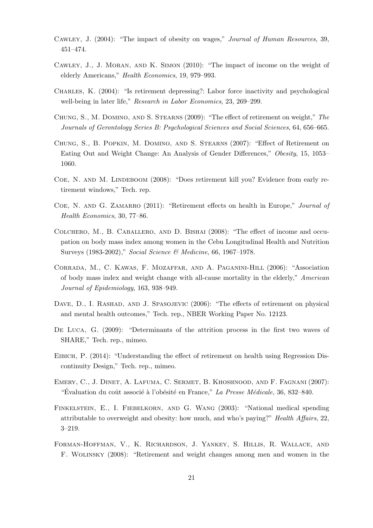- Cawley, J. (2004): "The impact of obesity on wages," Journal of Human Resources, 39, 451–474.
- Cawley, J., J. Moran, and K. Simon (2010): "The impact of income on the weight of elderly Americans," Health Economics, 19, 979–993.
- Charles, K. (2004): "Is retirement depressing?: Labor force inactivity and psychological well-being in later life," Research in Labor Economics, 23, 269-299.
- Chung, S., M. Domino, and S. Stearns (2009): "The effect of retirement on weight," The Journals of Gerontology Series B: Psychological Sciences and Social Sciences, 64, 656–665.
- Chung, S., B. Popkin, M. Domino, and S. Stearns (2007): "Effect of Retirement on Eating Out and Weight Change: An Analysis of Gender Differences," Obesity, 15, 1053– 1060.
- COE, N. AND M. LINDEBOOM (2008): "Does retirement kill you? Evidence from early retirement windows," Tech. rep.
- COE, N. AND G. ZAMARRO (2011): "Retirement effects on health in Europe," Journal of Health Economics, 30, 77–86.
- Colchero, M., B. Caballero, and D. Bishai (2008): "The effect of income and occupation on body mass index among women in the Cebu Longitudinal Health and Nutrition Surveys (1983-2002)," Social Science & Medicine, 66, 1967–1978.
- Corrada, M., C. Kawas, F. Mozaffar, and A. Paganini-Hill (2006): "Association of body mass index and weight change with all-cause mortality in the elderly," American Journal of Epidemiology, 163, 938–949.
- DAVE, D., I. RASHAD, AND J. SPASOJEVIC (2006): "The effects of retirement on physical and mental health outcomes," Tech. rep., NBER Working Paper No. 12123.
- De Luca, G. (2009): "Determinants of the attrition process in the first two waves of SHARE," Tech. rep., mimeo.
- Eibich, P. (2014): "Understanding the effect of retirement on health using Regression Discontinuity Design," Tech. rep., mimeo.
- Emery, C., J. Dinet, A. Lafuma, C. Sermet, B. Khoshnood, and F. Fagnani (2007): "Evaluation du coût associé à l'obésité en France," La Presse Médicale, 36, 832–840.
- FINKELSTEIN, E., I. FIEBELKORN, AND G. WANG (2003): "National medical spending attributable to overweight and obesity: how much, and who's paying?" Health Affairs, 22, 3–219.
- Forman-Hoffman, V., K. Richardson, J. Yankey, S. Hillis, R. Wallace, and F. Wolinsky (2008): "Retirement and weight changes among men and women in the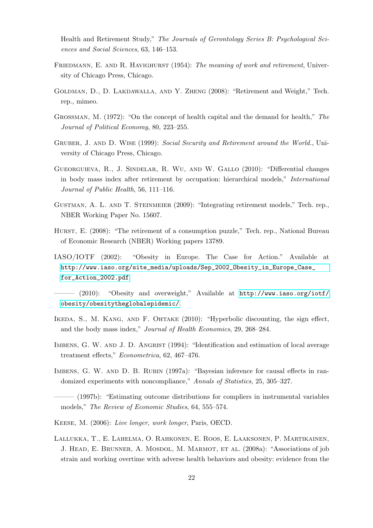Health and Retirement Study," The Journals of Gerontology Series B: Psychological Sciences and Social Sciences, 63, 146–153.

- FRIEDMANN, E. AND R. HAVIGHURST (1954): The meaning of work and retirement, University of Chicago Press, Chicago.
- Goldman, D., D. Lakdawalla, and Y. Zheng (2008): "Retirement and Weight," Tech. rep., mimeo.
- Grossman, M. (1972): "On the concept of health capital and the demand for health," The Journal of Political Economy, 80, 223–255.
- GRUBER, J. AND D. WISE (1999): Social Security and Retirement around the World., University of Chicago Press, Chicago.
- Gueorguieva, R., J. Sindelar, R. Wu, and W. Gallo (2010): "Differential changes in body mass index after retirement by occupation: hierarchical models," International Journal of Public Health, 56, 111–116.
- Gustman, A. L. and T. Steinmeier (2009): "Integrating retirement models," Tech. rep., NBER Working Paper No. 15607.
- HURST, E. (2008): "The retirement of a consumption puzzle," Tech. rep., National Bureau of Economic Research (NBER) Working papers 13789.
- IASO/IOTF (2002): "Obesity in Europe. The Case for Action." Available at [http://www.iaso.org/site\\_media/uploads/Sep\\_2002\\_Obesity\\_in\\_Europe\\_Case\\_](http://www.iaso.org/site_media/uploads/Sep_2002_Obesity_in_Europe_Case_for_Action_2002.pdf) [for\\_Action\\_2002.pdf](http://www.iaso.org/site_media/uploads/Sep_2002_Obesity_in_Europe_Case_for_Action_2002.pdf).

- (2010): "Obesity and overweight," Available at [http://www.iaso.org/iotf/](http://www.iaso.org/iotf/obesity/obesitytheglobalepidemic/) [obesity/obesitytheglobalepidemic/](http://www.iaso.org/iotf/obesity/obesitytheglobalepidemic/).

- Ikeda, S., M. Kang, and F. Ohtake (2010): "Hyperbolic discounting, the sign effect, and the body mass index," Journal of Health Economics, 29, 268–284.
- IMBENS, G. W. AND J. D. ANGRIST (1994): "Identification and estimation of local average treatment effects," Econometrica, 62, 467–476.
- IMBENS, G. W. AND D. B. RUBIN (1997a): "Bayesian inference for causal effects in randomized experiments with noncompliance," Annals of Statistics, 25, 305–327.
- (1997b): "Estimating outcome distributions for compliers in instrumental variables models," The Review of Economic Studies, 64, 555–574.
- Keese, M. (2006): Live longer, work longer, Paris, OECD.
- Lallukka, T., E. Lahelma, O. Rahkonen, E. Roos, E. Laaksonen, P. Martikainen, J. HEAD, E. BRUNNER, A. MOSDOL, M. MARMOT, ET AL. (2008a): "Associations of job strain and working overtime with adverse health behaviors and obesity: evidence from the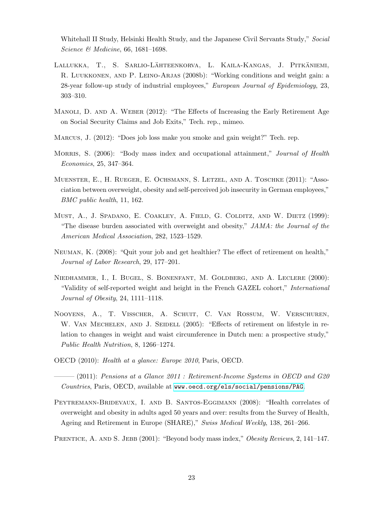Whitehall II Study, Helsinki Health Study, and the Japanese Civil Servants Study," Social Science & Medicine, 66, 1681–1698.

- LALLUKKA, T., S. SARLIO-LÄHTEENKORVA, L. KAILA-KANGAS, J. PITKÄNIEMI, R. Luukkonen, and P. Leino-Arjas (2008b): "Working conditions and weight gain: a 28-year follow-up study of industrial employees," European Journal of Epidemiology, 23, 303–310.
- MANOLI, D. AND A. WEBER (2012): "The Effects of Increasing the Early Retirement Age on Social Security Claims and Job Exits," Tech. rep., mimeo.
- Marcus, J. (2012): "Does job loss make you smoke and gain weight?" Tech. rep.
- MORRIS, S. (2006): "Body mass index and occupational attainment," *Journal of Health* Economics, 25, 347–364.
- Muenster, E., H. Rueger, E. Ochsmann, S. Letzel, and A. Toschke (2011): "Association between overweight, obesity and self-perceived job insecurity in German employees," BMC public health, 11, 162.
- MUST, A., J. SPADANO, E. COAKLEY, A. FIELD, G. COLDITZ, AND W. DIETZ (1999): "The disease burden associated with overweight and obesity," JAMA: the Journal of the American Medical Association, 282, 1523–1529.
- Neuman, K. (2008): "Quit your job and get healthier? The effect of retirement on health," Journal of Labor Research, 29, 177–201.
- Niedhammer, I., I. Bugel, S. Bonenfant, M. Goldberg, and A. Leclere (2000): "Validity of self-reported weight and height in the French GAZEL cohort," International Journal of Obesity, 24, 1111–1118.
- Nooyens, A., T. Visscher, A. Schuit, C. Van Rossum, W. Verschuren, W. VAN MECHELEN, AND J. SEIDELL (2005): "Effects of retirement on lifestyle in relation to changes in weight and waist circumference in Dutch men: a prospective study," Public Health Nutrition, 8, 1266–1274.
- OECD (2010): Health at a glance: Europe 2010, Paris, OECD.

 $-(2011)$ : Pensions at a Glance 2011 : Retirement-Income Systems in OECD and G20 Countries, Paris, OECD, available at <www.oecd.org/els/social/pensions/PAG>.

- Peytremann-Bridevaux, I. and B. Santos-Eggimann (2008): "Health correlates of overweight and obesity in adults aged 50 years and over: results from the Survey of Health, Ageing and Retirement in Europe (SHARE)," Swiss Medical Weekly, 138, 261–266.
- PRENTICE, A. AND S. JEBB (2001): "Beyond body mass index," Obesity Reviews, 2, 141–147.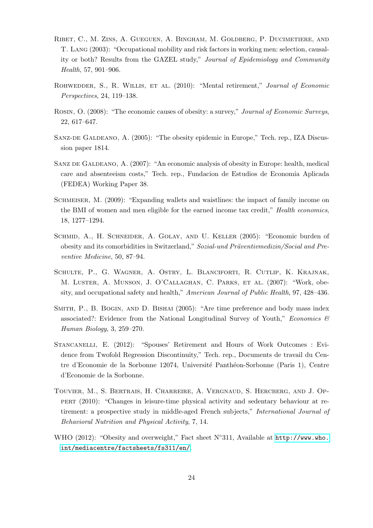- Ribet, C., M. Zins, A. Gueguen, A. Bingham, M. Goldberg, P. Ducimetiere, and T. Lang (2003): "Occupational mobility and risk factors in working men: selection, causality or both? Results from the GAZEL study," Journal of Epidemiology and Community Health, 57, 901–906.
- ROHWEDDER, S., R. WILLIS, ET AL. (2010): "Mental retirement," Journal of Economic Perspectives, 24, 119–138.
- ROSIN, O. (2008): "The economic causes of obesity: a survey," Journal of Economic Surveys, 22, 617–647.
- Sanz-de Galdeano, A. (2005): "The obesity epidemic in Europe," Tech. rep., IZA Discussion paper 1814.
- SANZ DE GALDEANO, A. (2007): "An economic analysis of obesity in Europe: health, medical care and absenteeism costs," Tech. rep., Fundacion de Estudios de Economia Aplicada (FEDEA) Working Paper 38.
- SCHMEISER, M. (2009): "Expanding wallets and waistlines: the impact of family income on the BMI of women and men eligible for the earned income tax credit," Health economics, 18, 1277–1294.
- SCHMID, A., H. SCHNEIDER, A. GOLAY, AND U. KELLER (2005): "Economic burden of obesity and its comorbidities in Switzerland," Sozial-und Präventivmedizin/Social and Preventive Medicine, 50, 87–94.
- Schulte, P., G. Wagner, A. Ostry, L. Blanciforti, R. Cutlip, K. Krajnak, M. Luster, A. Munson, J. O'Callaghan, C. Parks, et al. (2007): "Work, obesity, and occupational safety and health," American Journal of Public Health, 97, 428–436.
- Smith, P., B. Bogin, and D. Bishai (2005): "Are time preference and body mass index associated?: Evidence from the National Longitudinal Survey of Youth," *Economics*  $\mathscr{B}$ Human Biology, 3, 259–270.
- Stancanelli, E. (2012): "Spouses' Retirement and Hours of Work Outcomes : Evidence from Twofold Regression Discontinuity," Tech. rep., Documents de travail du Centre d'Economie de la Sorbonne 12074, Université Panthéon-Sorbonne (Paris 1), Centre d'Economie de la Sorbonne.
- Touvier, M., S. Bertrais, H. Charreire, A. Vergnaud, S. Hercberg, and J. Oppert (2010): "Changes in leisure-time physical activity and sedentary behaviour at retirement: a prospective study in middle-aged French subjects," *International Journal of* Behavioral Nutrition and Physical Activity, 7, 14.
- WHO (2012): "Obesity and overweight," Fact sheet N°311, Available at [http://www.who.](http://www.who.int/mediacentre/factsheets/fs311/en/) [int/mediacentre/factsheets/fs311/en/](http://www.who.int/mediacentre/factsheets/fs311/en/).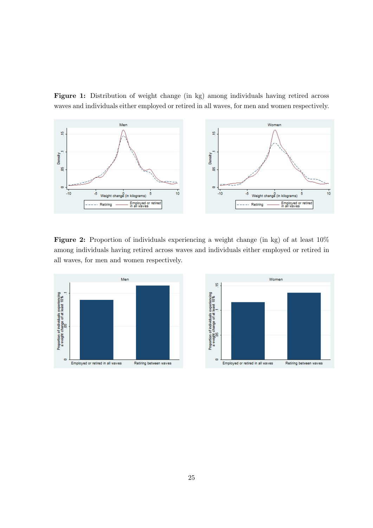Figure 1: Distribution of weight change (in kg) among individuals having retired across waves and individuals either employed or retired in all waves, for men and women respectively.



Figure 2: Proportion of individuals experiencing a weight change (in kg) of at least 10% among individuals having retired across waves and individuals either employed or retired in all waves, for men and women respectively.



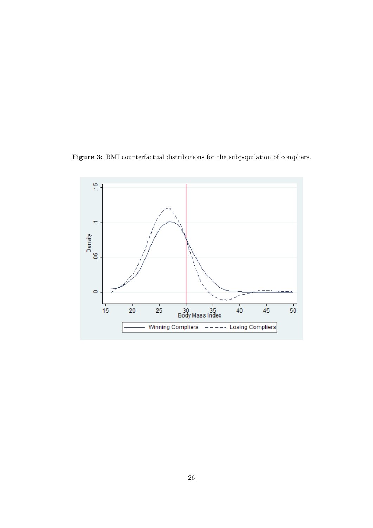

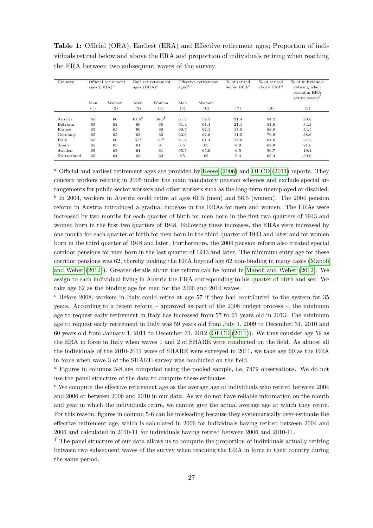| Country     |     | Official retirement<br>ages $(ORA)^a$ |            | Earliest retirement<br>ages $(ERA)^a$ |      | Effective retirement<br>$\mathrm{ages}^{d,e}$ | % of retired<br>below $ERA^d$ | % of retired<br>above $ERA^d$ | % of individuals<br>retiring when<br>reaching ERA |
|-------------|-----|---------------------------------------|------------|---------------------------------------|------|-----------------------------------------------|-------------------------------|-------------------------------|---------------------------------------------------|
|             | Men | Women                                 | Men        | Women                                 | Men  | Women                                         |                               |                               | $\arccos$ waves <sup><math>J</math></sup>         |
|             | (1) | (2)                                   | (3)        | (4)                                   | (5)  | (6)                                           | (7)                           | (8)                           | (9)                                               |
|             |     |                                       |            |                                       |      |                                               |                               |                               |                                                   |
| Austria     | 65  | 60                                    | $61.5^{b}$ | $56.5^{b}$                            | 61.3 | 59.5                                          | 31.4                          | 94.2                          | 28.6                                              |
| Belgium     | 65  | 63                                    | 60         | 60                                    | 61.4 | 61.4                                          | 21.1                          | 81.6                          | 34.3                                              |
| France      | 65  | 65                                    | 60         | 60                                    | 60.5 | 62.1                                          | 17.0                          | 88.0                          | 44.5                                              |
| Germany     | 65  | 65                                    | 63         | 60                                    | 63.6 | 62.6                                          | 11.5                          | 79.9                          | 38.6                                              |
| Italy       | 65  | 60                                    | $57^c$     | $57^c$                                | 61.4 | 61.4                                          | 18.6                          | 81.6                          | 27.2                                              |
| Spain       | 65  | 65                                    | 61         | 61                                    | 65   | 63                                            | 8.9                           | 68.9                          | 21.6                                              |
| Sweden      | 65  | 65                                    | 61         | 61                                    | 65.5 | 65.9                                          | 6.5                           | 50.7                          | 19.4                                              |
| Switzerland | 65  | 64                                    | 63         | 62                                    | 65   | 65                                            | 5.4                           | 65.4                          | 39.0                                              |

Table 1: Official (ORA), Earliest (ERA) and Effective retirement ages; Proportion of individuals retired below and above the ERA and proportion of individuals retiring when reaching the ERA between two subsequent waves of the survey.

<sup>a</sup> Official and earliest retirement ages are provided by Keese (2006) and OECD (2011) reports. They concern workers retiring in 2005 under the main mandatory pension schemes and exclude special arrangements for public-sector workers and other workers such as the long-term unemployed or disabled.  $<sup>b</sup>$  In 2004, workers in Austria could retire at ages 61.5 (men) and 56.5 (women). The 2004 pension</sup> reform in Austria introduced a gradual increase in the ERAs for men and women. The ERAs were increased by two months for each quarter of birth for men born in the first two quarters of 1943 and women born in the first two quarters of 1948. Following these increases, the ERAs were increased by one month for each quarter of birth for men born in the third quarter of 1943 and later and for women born in the third quarter of 1948 and later. Furthermore, the 2004 pension reform also created special corridor pensions for men born in the last quarter of 1943 and later. The minimum entry age for these corridor pensions was 62, thereby making the ERA beyond age 62 non-binding in many cases (Manoli and Weber (2012)). Greater details about the reform can be found in Manoli and Weber (2012). We assign to each individual living in Austria the ERA corresponding to his quarter of birth and sex. We take age 62 as the binding age for men for the 2006 and 2010 waves.

 $c$  Before 2008, workers in Italy could retire at age 57 if they had contributed to the system for 35 years. According to a recent reform – approved as part of the 2008 budget process –, the minimum age to request early retirement in Italy has increased from 57 to 61 years old in 2013. The minimum age to request early retirement in Italy was 59 years old from July 1, 2009 to December 31, 2010 and 60 years old from January 1, 2011 to December 31, 2012 (OECD (2011)). We thus consider age 59 as the ERA in force in Italy when waves 1 and 2 of SHARE were conducted on the field. As almost all the individuals of the 2010-2011 wave of SHARE were surveyed in 2011, we take age 60 as the ERA in force when wave 3 of the SHARE survey was conducted on the field.

 $d$  Figures in columns 5-8 are computed using the pooled sample, i.e, 7479 observations. We do not use the panel structure of the data to compute these estimates.

 $e$  We compute the effective retirement age as the average age of individuals who retired between 2004 and 2006 or between 2006 and 2010 in our data. As we do not have reliable information on the month and year in which the individuals retire, we cannot give the actual average age at which they retire. For this reason, figures in column 5-6 can be misleading because they systematically over-estimate the effective retirement age, which is calculated in 2006 for individuals having retired between 2004 and 2006 and calculated in 2010-11 for individuals having retired between 2006 and 2010-11.

 $<sup>f</sup>$  The panel structure of our data allows us to compute the proportion of individuals actually retiring</sup> between two subsequent waves of the survey when reaching the ERA in force in their country during the same period.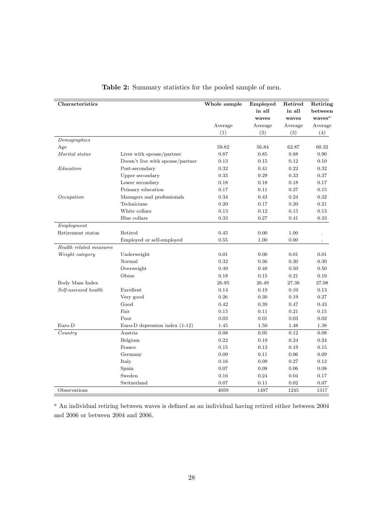| Characteristics         |                                  | Whole sample | Employed | Retired | Retiring           |
|-------------------------|----------------------------------|--------------|----------|---------|--------------------|
|                         |                                  |              | in all   | in all  | between            |
|                         |                                  |              | waves    | waves   | waves <sup>a</sup> |
|                         |                                  | Average      | Average  | Average | Average            |
|                         |                                  | (1)          | (2)      | (3)     | (4)                |
| Demographics            |                                  |              |          |         |                    |
| Age                     |                                  | 59.82        | 56.84    | 62.87   | 60.32              |
| Marital status          | Lives with spouse/partner        | 0.87         | 0.85     | 0.88    | 0.90               |
|                         | Doesn't live with spouse/partner | 0.13         | 0.15     | 0.12    | 0.10               |
| Education               | Post-secondary                   | 0.32         | 0.41     | 0.22    | 0.32               |
|                         | Upper secondary                  | 0.33         | 0.29     | 0.33    | 0.37               |
|                         | Lower secondary                  | 0.18         | 0.18     | 0.18    | 0.17               |
|                         | Primary education                | 0.17         | 0.11     | 0.27    | 0.15               |
| Occupation              | Managers and professionals       | 0.34         | 0.43     | 0.24    | 0.32               |
|                         | Technicians                      | 0.20         | 0.17     | 0.20    | 0.21               |
|                         | White collars                    | 0.13         | 0.12     | 0.15    | 0.13               |
|                         | Blue collars                     | 0.33         | 0.27     | 0.41    | $\rm 0.33$         |
| Employment              |                                  |              |          |         |                    |
| Retirement status       | Retired                          | 0.45         | 0.00     | 1.00    |                    |
|                         | Employed or self-employed        | 0.55         | 1.00     | 0.00    |                    |
| Health related measures |                                  |              |          |         |                    |
| Weight category         | Underweight                      | 0.01         | 0.00     | 0.01    | 0.01               |
|                         | Normal                           | 0.32         | 0.36     | 0.30    | 0.30               |
|                         | Overweight                       | 0.49         | 0.48     | 0.50    | 0.50               |
|                         | Obese                            | 0.18         | 0.15     | 0.21    | 0.19               |
| Body Mass Index         |                                  | 26.95        | 26.49    | 27.38   | 27.08              |
| Self-assessed health    | Excellent                        | 0.14         | 0.19     | 0.10    | 0.13               |
|                         | Very good                        | 0.26         | 0.30     | 0.19    | 0.27               |
|                         | Good                             | 0.42         | 0.39     | 0.47    | 0.43               |
|                         | Fair                             | 0.15         | 0.11     | 0.21    | 0.15               |
|                         | Poor                             | 0.03         | 0.01     | 0.03    | 0.02               |
| $Euro-D$                | Euro-D depression index $(1-12)$ | 1.45         | 1.50     | 1.48    | 1.38               |
| Country                 | Austria                          | $0.08\,$     | $0.05\,$ | 0.12    | 0.08               |
|                         | Belgium                          | 0.22         | 0.19     | 0.24    | 0.24               |
|                         | France                           | 0.15         | 0.13     | 0.19    | 0.15               |
|                         | Germany                          | 0.09         | 0.11     | 0.06    | 0.09               |
|                         | Italy                            | 0.16         | 0.09     | 0.27    | 0.12               |
|                         | Spain                            | 0.07         | 0.08     | 0.06    | 0.08               |
|                         | Sweden                           | 0.16         | 0.24     | 0.04    | 0.17               |
|                         | Switzerland                      | 0.07         | 0.11     | 0.02    | 0.07               |
| Observations            |                                  | 4059         | 1497     | 1245    | 1317               |

|  | Table 2: Summary statistics for the pooled sample of men. |  |  |  |  |  |  |
|--|-----------------------------------------------------------|--|--|--|--|--|--|
|--|-----------------------------------------------------------|--|--|--|--|--|--|

 $a$  An individual retiring between waves is defined as an individual having retired either between 2004 and 2006 or between 2004 and 2006.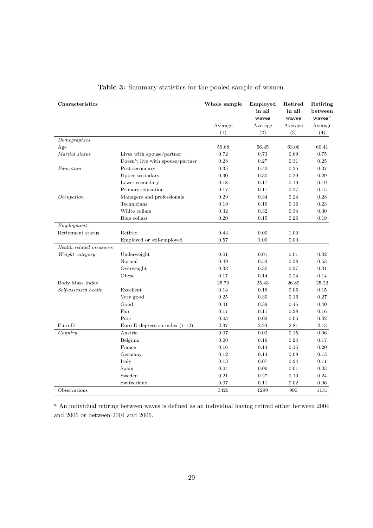| Characteristics         |                                  | Whole sample | Employed | Retired | Retiring           |
|-------------------------|----------------------------------|--------------|----------|---------|--------------------|
|                         |                                  |              | in all   | in all  | between            |
|                         |                                  |              | waves    | waves   | waves <sup>a</sup> |
|                         |                                  | Average      | Average  | Average | Average            |
|                         |                                  | (1)          | (2)      | (3)     | (4)                |
| Demographics            |                                  |              |          |         |                    |
| Age                     |                                  | 59.68        | 56.45    | 63.06   | 60.41              |
| Marital status          | Lives with spouse/partner        | 0.72         | 0.73     | 0.69    | 0.75               |
|                         | Doesn't live with spouse/partner | 0.28         | 0.27     | 0.31    | 0.25               |
| Education               | Post-secondary                   | 0.35         | 0.42     | 0.25    | 0.37               |
|                         | Upper secondary                  | 0.30         | 0.30     | 0.29    | 0.29               |
|                         | Lower secondary                  | 0.18         | 0.17     | 0.19    | 0.19               |
|                         | Primary education                | 0.17         | 0.11     | 0.27    | 0.15               |
| Occupation              | Managers and professionals       | 0.29         | 0.34     | 0.24    | 0.28               |
|                         | Technicians                      | 0.19         | 0.19     | 0.16    | 0.23               |
|                         | White collars                    | 0.32         | 0.32     | 0.34    | 0.30               |
|                         | Blue collars                     | 0.20         | 0.15     | 0.26    | 0.19               |
| Employment              |                                  |              |          |         |                    |
| Retirement status       | Retired                          | 0.43         | 0.00     | 1.00    |                    |
|                         | Employed or self-employed        | 0.57         | 1.00     | 0.00    |                    |
| Health related measures |                                  |              |          |         |                    |
| Weight category         | Underweight                      | 0.01         | 0.01     | 0.01    | 0.02               |
|                         | Normal                           | 0.49         | 0.53     | 0.38    | 0.53               |
|                         | Overweight                       | 0.33         | 0.30     | 0.37    | 0.31               |
|                         | Obese                            | 0.17         | $0.14\,$ | 0.24    | 0.14               |
| Body Mass Index         |                                  | 25.79        | 25.43    | 26.89   | 25.22              |
| Self-assessed health    | Excellent                        | 0.14         | 0.18     | 0.06    | 0.15               |
|                         | Very good                        | 0.25         | 0.30     | 0.16    | 0.27               |
|                         | Good                             | 0.41         | 0.39     | 0.45    | 0.40               |
|                         | Fair                             | 0.17         | 0.11     | 0.28    | 0.16               |
|                         | Poor                             | 0.03         | 0.02     | 0.05    | 0.02               |
| $Euro-D$                | Euro-D depression index $(1-12)$ | 2.37         | 2.24     | 2.81    | 2.13               |
| Country                 | Austria                          | 0.07         | 0.02     | 0.15    | 0.06               |
|                         | Belgium                          | 0.20         | 0.19     | 0.24    | 0.17               |
|                         | France                           | 0.16         | 0.14     | 0.15    | 0.20               |
|                         | Germany                          | 0.12         | 0.14     | 0.09    | 0.13               |
|                         | Italy                            | 0.13         | 0.07     | 0.24    | 0.11               |
|                         | Spain                            | 0.04         | 0.06     | 0.01    | 0.03               |
|                         | Sweden                           | 0.21         | 0.27     | 0.10    | 0.24               |
|                         | Switzerland                      | 0.07         | 0.11     | 0.02    | 0.06               |
| Observations            |                                  | 3420         | 1299     | 990     | 1131               |

Table 3: Summary statistics for the pooled sample of women.

 $a$  An individual retiring between waves is defined as an individual having retired either between 2004 and 2006 or between 2004 and 2006.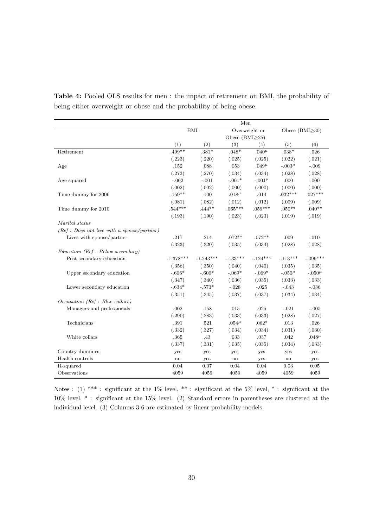|                                              | Men                    |             |                        |               |                        |               |  |  |
|----------------------------------------------|------------------------|-------------|------------------------|---------------|------------------------|---------------|--|--|
|                                              | <b>BMI</b>             |             |                        | Overweight or | Obese $(BMI > 30)$     |               |  |  |
|                                              |                        |             | Obese $(BMI \geq 25)$  |               |                        |               |  |  |
|                                              | (1)                    | (2)         | (3)                    | (4)           | (5)                    | (6)           |  |  |
| Retirement                                   | $.499**$               | $.381*$     | $.048*$                | $.040^{\mu}$  | $.038*$                | .026          |  |  |
|                                              | (.223)                 | (.220)      | (.025)                 | (.025)        | (.022)                 | (.021)        |  |  |
| Age                                          | .152                   | .088        | .053                   | $.049\mu$     | $-.003\mu$             | $-.009$       |  |  |
|                                              | (.273)                 | (.270)      | (.034)                 | (.034)        | (.028)                 | (.028)        |  |  |
| Age squared                                  | $-.002$                | $-.001$     | $-.001*$               | $-.001\mu$    | .000                   | .000          |  |  |
|                                              | (.002)                 | (.002)      | (.000)                 | (.000)        | (.000)                 | (.000)        |  |  |
| Time dummy for 2006                          | $.159***$              | .100        | .018 $\mu$             | .014          | $.032***$              | $.027***$     |  |  |
|                                              | (.081)                 | (.082)      | (.012)                 | (.012)        | (.009)                 | (.009)        |  |  |
| Time dummy for 2010                          | $.544***$              | $.444**$    | $.065***$              | $.059***$     | $.050**$               | $.040**$      |  |  |
|                                              | (.193)                 | (.190)      | (.023)                 | (.023)        | (.019)                 | (.019)        |  |  |
| Marital status                               |                        |             |                        |               |                        |               |  |  |
| $(Ref: Does not live with a spouse/partner)$ |                        |             |                        |               |                        |               |  |  |
| Lives with spouse/partner                    | .217                   | .214        | $.072**$               | $.072**$      | .009                   | .010          |  |  |
|                                              | (.323)                 | (.320)      | (.035)                 | (.034)        | (.028)                 | (.028)        |  |  |
| $Education$ (Ref : Below secondary)          |                        |             |                        |               |                        |               |  |  |
| Post secondary education                     | $-1.378***$            | $-1.243***$ | $-.133***$             | $-.124***$    | $-.113***$             | $-.099***$    |  |  |
|                                              | (.356)                 | (.350)      | (.040)                 | (.040)        | (.035)                 | (.035)        |  |  |
| Upper secondary education                    | $-.606*$               | $-.600*$    | $-.069*$               | $-.069*$      | $-.050^{\mu}$          | $-.050^{\mu}$ |  |  |
|                                              | (.347)                 | (.340)      | (.036)                 | (.035)        | (.033)                 | (.033)        |  |  |
| Lower secondary education                    | $-.634*$               | $-.573*$    | $-.028$                | $-.025$       | $-.043$                | $-.036$       |  |  |
|                                              | (.351)                 | (.345)      | (.037)                 | (.037)        | (.034)                 | (.034)        |  |  |
| Occupation (Ref : Blue collars)              |                        |             |                        |               |                        |               |  |  |
| Managers and professionals                   | .002                   | .158        | .015                   | .025          | $-.021$                | $-.005$       |  |  |
|                                              | (.290)                 | (.283)      | (.033)                 | (.033)        | (.028)                 | (.027)        |  |  |
| Technicians                                  | $.391\,$               | .521        | .054 $^{\mu}$          | $.062*$       | $.013\,$               | .026          |  |  |
|                                              | (.332)                 | (.327)      | (.034)                 | (.034)        | (.031)                 | (.030)        |  |  |
| White collars                                | .365                   | .43         | .033                   | $.037\,$      | .042                   | $.048\mu$     |  |  |
|                                              | (.337)                 | (.331)      | (.035)                 | (.035)        | (.034)                 | (.033)        |  |  |
| Country dummies                              | yes                    | yes         | yes                    | yes           | yes                    | yes           |  |  |
| Health controls                              | $\mathop{\mathrm{no}}$ | yes         | $\mathbf{n}\mathbf{o}$ | yes           | $\mathbf{n}\mathbf{o}$ | yes           |  |  |
| R-squared                                    | 0.04                   | 0.07        | 0.04                   | 0.04          | 0.03                   | 0.05          |  |  |
| Observations                                 | 4059                   | 4059        | 4059                   | 4059          | 4059                   | 4059          |  |  |

Table 4: Pooled OLS results for men : the impact of retirement on BMI, the probability of being either overweight or obese and the probability of being obese.

Notes : (1) \*\*\* : significant at the 1% level, \*\* : significant at the 5% level, \* : significant at the 10% level,  $\mu$  : significant at the 15% level. (2) Standard errors in parentheses are clustered at the individual level. (3) Columns 3-6 are estimated by linear probability models.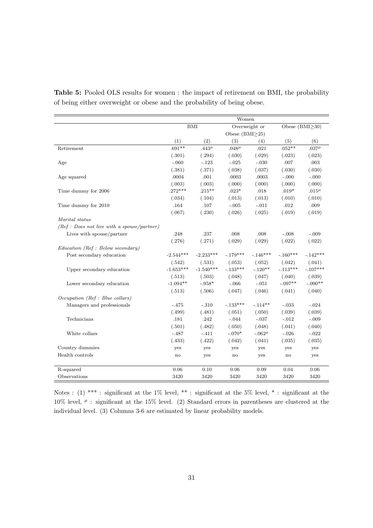|                                             | Women         |              |                       |               |                       |            |  |  |
|---------------------------------------------|---------------|--------------|-----------------------|---------------|-----------------------|------------|--|--|
|                                             | <b>BMI</b>    |              |                       | Overweight or | Obese $(BMI \geq 30)$ |            |  |  |
|                                             |               |              | Obese (BMI $\geq$ 25) |               |                       |            |  |  |
|                                             | (1)           | (2)          | (3)                   | (4)           | (5)                   | (6)        |  |  |
| Retirement                                  | $.691**$      | $.443^{\mu}$ | $.048^{\mu}$          | .021          | $.052**$              | $.037\mu$  |  |  |
|                                             | (.301)        | (.294)       | (.030)                | (.029)        | (.023)                | (.023)     |  |  |
| Age                                         | $-.060$       | $-.123$      | $-.025$               | $-.030$       | .007                  | .003       |  |  |
|                                             | (.381)        | (.371)       | (.038)                | (.037)        | (.030)                | (.030)     |  |  |
| Age squared                                 | .0004         | .001         | .0003                 | .0003         | $-.000$               | $-.000$    |  |  |
|                                             | (.003)        | (.003)       | (.000)                | (.000)        | (.000)                | (.000)     |  |  |
| Time dummy for 2006                         | $.272***$     | $.215***$    | $.023*$               | .018          | $.019*$               | .015 $\mu$ |  |  |
|                                             | (.034)        | (.104)       | (.013)                | (.013)        | (.010)                | (.010)     |  |  |
| Time dummy for 2010                         | .164          | .107         | $-.005$               | $-.011$       | .012                  | .009       |  |  |
|                                             | (.067)        | (.230)       | (.026)                | (.025)        | (.019)                | (.019)     |  |  |
| Marital status                              |               |              |                       |               |                       |            |  |  |
| (Ref : Does not live with a spouse/partner) |               |              |                       |               |                       |            |  |  |
| Lives with spouse/partner                   | .248          | .237         | .008                  | .008          | $-.008$               | $-.009$    |  |  |
|                                             | (.276)        | (.271)       | (.029)                | (.029)        | (.022)                | (.022)     |  |  |
| Education (Ref : Below secondary)           |               |              |                       |               |                       |            |  |  |
| Post secondary education                    | $-2.544***$   | $-2.233***$  | $-.179***$            | $-.146***$    | $-.160***$            | $-.142***$ |  |  |
|                                             | (.542)        | (.531)       | (.053)                | (.052)        | (.042)                | (.041)     |  |  |
| Upper secondary education                   | $-1.653***$   | $-1.540***$  | $-.133***$            | $-.120**$     | $-.113***$            | $-.107***$ |  |  |
|                                             | (.513)        | (.503)       | (.048)                | (.047)        | (.040)                | (.039)     |  |  |
| Lower secondary education                   | $-1.094**$    | $-.958*$     | $-.066$               | $-.051$       | $-.097**$             | $-.090**$  |  |  |
|                                             | (.513)        | (.506)       | (.047)                | (.046)        | (.041)                | (.040)     |  |  |
| Occupation (Ref : Blue collars)             |               |              |                       |               |                       |            |  |  |
| Managers and professionals                  | $-.475$       | $-.310$      | $-.133***$            | $-.114**$     | $-.033$               | $-.024$    |  |  |
|                                             | (.499)        | (.481)       | (.051)                | (.050)        | (.039)                | (.039)     |  |  |
| Technicians                                 | .181          | .242         | $-.044$               | $-.037$       | $-.012$               | $-.009$    |  |  |
|                                             | (.501)        | (.482)       | (.050)                | (.048)        | (.041)                | (.040)     |  |  |
| White collars                               | $-.487$       | $-.411$      | $-.070*$              | $-.062\mu$    | $-.026$               | $-.022$    |  |  |
|                                             | (.433)        | (.422)       | (.042)                | (.041)        | (.035)                | (.035)     |  |  |
| Country dummies                             | yes           | yes          | yes                   | yes           | yes                   | yes        |  |  |
| Health controls                             | $\mathbf{no}$ | yes          | no                    | yes           | no                    | yes        |  |  |
| R-squared                                   | 0.06          | 0.10         | 0.06                  | 0.09          | 0.04                  | 0.06       |  |  |
| Observations                                | 3420          | 3420         | 3420                  | 3420          | 3420                  | 3420       |  |  |

Table 5: Pooled OLS results for women : the impact of retirement on BMI, the probability of being either overweight or obese and the probability of being obese.

Notes : (1) \*\*\* : significant at the 1% level, \*\* : significant at the 5% level, \* : significant at the 10% level,  $\mu$  : significant at the 15% level. (2) Standard errors in parentheses are clustered at the individual level. (3) Columns 3-6 are estimated by linear probability models.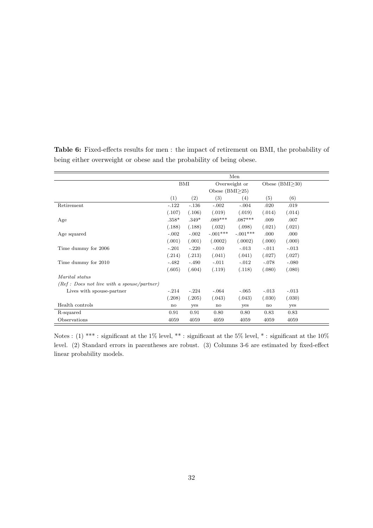|                                             | Men          |         |                  |               |         |                  |  |  |
|---------------------------------------------|--------------|---------|------------------|---------------|---------|------------------|--|--|
|                                             |              | BMI     |                  | Overweight or |         | Obese $(BMI>30)$ |  |  |
|                                             |              |         | Obese $(BMI>25)$ |               |         |                  |  |  |
|                                             | (1)          | (2)     | (3)              | (4)           | (5)     | (6)              |  |  |
| Retirement                                  | $-.122$      | $-.136$ | $-.002$          | $-.004$       | .020    | .019             |  |  |
|                                             | (.107)       | (.106)  | (.019)           | (.019)        | (.014)  | (.014)           |  |  |
| Age                                         | $.358*$      | $.349*$ | $.089***$        | $.087***$     | .009    | .007             |  |  |
|                                             | (.188)       | (.188)  | (.032)           | (.098)        | (.021)  | (.021)           |  |  |
| Age squared                                 | $-.002$      | $-.002$ | $-.001***$       | $-.001***$    | .000    | .000             |  |  |
|                                             | (.001)       | (.001)  | (.0002)          | (.0002)       | (.000)  | (.000)           |  |  |
| Time dummy for 2006                         | $-.201$      | $-.220$ | $-.010$          | $-.013$       | $-.011$ | $-.013$          |  |  |
|                                             | (.214)       | (.213)  | (.041)           | (.041)        | (.027)  | (.027)           |  |  |
| Time dummy for 2010                         | $-.482$      | $-.490$ | $-.011$          | $-.012$       | $-.078$ | $-.080$          |  |  |
|                                             | (.605)       | (.604)  | (.119)           | (.118)        | (.080)  | (.080)           |  |  |
| <i>Marital status</i>                       |              |         |                  |               |         |                  |  |  |
| $(Ref: Does not live with a space/partner)$ |              |         |                  |               |         |                  |  |  |
| Lives with spouse-partner                   | $-.214$      | $-.224$ | $-.064$          | $-.065$       | $-.013$ | $-.013$          |  |  |
|                                             | (.208)       | (.205)  | (.043)           | (.043)        | (.030)  | (.030)           |  |  |
| Health controls                             | $\mathbf{n}$ | yes     | no               | yes           | no      | yes              |  |  |
| R-squared                                   | 0.91         | 0.91    | 0.80             | 0.80          | 0.83    | 0.83             |  |  |
| Observations                                | 4059         | 4059    | 4059             | 4059          | 4059    | 4059             |  |  |

Table 6: Fixed-effects results for men : the impact of retirement on BMI, the probability of being either overweight or obese and the probability of being obese.

Notes : (1) \*\*\* : significant at the 1% level, \*\* : significant at the 5% level, \* : significant at the 10% level. (2) Standard errors in parentheses are robust. (3) Columns 3-6 are estimated by fixed-effect linear probability models.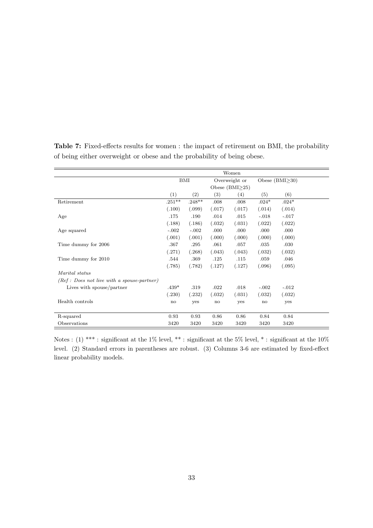|                                             | Women     |                   |                     |        |               |                    |  |  |  |  |
|---------------------------------------------|-----------|-------------------|---------------------|--------|---------------|--------------------|--|--|--|--|
|                                             | BMI       |                   | Overweight or       |        |               | Obese $(BMI > 30)$ |  |  |  |  |
|                                             |           |                   | Obese $(BMI\geq25)$ |        |               |                    |  |  |  |  |
|                                             | (1)       | $\left( 2\right)$ | $\left( 3\right)$   | (4)    | (5)           | (6)                |  |  |  |  |
| Retirement                                  | $.251***$ | $.248**$          | .008                | .008   | $.024*$       | $.024*$            |  |  |  |  |
|                                             | (.100)    | (.099)            | (.017)              | (.017) | (.014)        | (.014)             |  |  |  |  |
| Age                                         | .175      | .190              | .014                | .015   | $-.018$       | $-.017$            |  |  |  |  |
|                                             | (.188)    | (.186)            | (.032)              | (.031) | (.022)        | (.022)             |  |  |  |  |
| Age squared                                 | $-.002$   | $-.002$           | .000                | .000   | .000          | .000               |  |  |  |  |
|                                             | (.001)    | (.001)            | (.000)              | (.000) | (.000)        | (.000)             |  |  |  |  |
| Time dummy for 2006                         | .367      | .295              | .061                | .057   | .035          | .030               |  |  |  |  |
|                                             | (.271)    | (.268)            | (.043)              | (.043) | (.032)        | (.032)             |  |  |  |  |
| Time dummy for 2010                         | .544      | .369              | .125                | .115   | .059          | .046               |  |  |  |  |
|                                             | (.785)    | (.782)            | (.127)              | (.127) | (.096)        | (.095)             |  |  |  |  |
| Marital status                              |           |                   |                     |        |               |                    |  |  |  |  |
| $(Ref: Does not live with a space-partner)$ |           |                   |                     |        |               |                    |  |  |  |  |
| Lives with spouse/partner                   | $.439*$   | .319              | .022                | .018   | $-.002$       | $-.012$            |  |  |  |  |
|                                             | (.230)    | (.232)            | (.032)              | (.031) | (.032)        | (.032)             |  |  |  |  |
| Health controls                             | no        | yes               | no                  | yes    | $\mathbf{no}$ | yes                |  |  |  |  |
|                                             |           |                   |                     |        |               |                    |  |  |  |  |
| R-squared                                   | 0.93      | 0.93              | 0.86                | 0.86   | 0.84          | 0.84               |  |  |  |  |
| Observations                                | 3420      | 3420              | 3420                | 3420   | 3420          | 3420               |  |  |  |  |

Table 7: Fixed-effects results for women : the impact of retirement on BMI, the probability of being either overweight or obese and the probability of being obese.

Notes : (1) \*\*\* : significant at the 1% level, \*\* : significant at the 5% level, \* : significant at the 10% level. (2) Standard errors in parentheses are robust. (3) Columns 3-6 are estimated by fixed-effect linear probability models.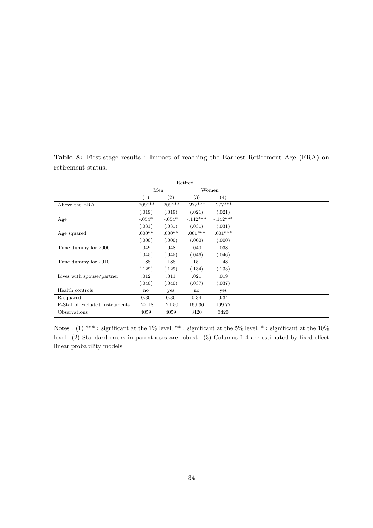|                                |           |           | Retired    |            |
|--------------------------------|-----------|-----------|------------|------------|
|                                |           | Men       |            | Women      |
|                                | (1)       | (2)       | (3)        | (4)        |
| Above the ERA                  | $.209***$ | $.209***$ | $.277***$  | $.277***$  |
|                                | (.019)    | (.019)    | (.021)     | (.021)     |
| Age                            | $-.054*$  | $-.054*$  | $-.142***$ | $-.142***$ |
|                                | (.031)    | (.031)    | (.031)     | (.031)     |
| Age squared                    | $0.00**$  | $.000**$  | $.001***$  | $.001***$  |
|                                | (.000)    | (0.00)    | (.000)     | (.000)     |
| Time dummy for 2006            | .049      | .048      | .040       | .038       |
|                                | (.045)    | (.045)    | (.046)     | (.046)     |
| Time dummy for 2010            | .188      | .188      | .151       | .148       |
|                                | (.129)    | (.129)    | (.134)     | (.133)     |
| Lives with spouse/partner      | .012      | .011      | .021       | .019       |
|                                | (.040)    | (.040)    | (.037)     | (.037)     |
| Health controls                | no        | yes       | no         | yes        |
| R-squared                      | 0.30      | 0.30      | 0.34       | 0.34       |
| F-Stat of excluded instruments | 122.18    | 121.50    | 169.36     | 169.77     |
| Observations                   | 4059      | 4059      | 3420       | 3420       |

Table 8: First-stage results : Impact of reaching the Earliest Retirement Age (ERA) on retirement status.

Notes : (1) \*\*\* : significant at the 1% level, \*\* : significant at the 5% level, \* : significant at the 10% level. (2) Standard errors in parentheses are robust. (3) Columns 1-4 are estimated by fixed-effect linear probability models.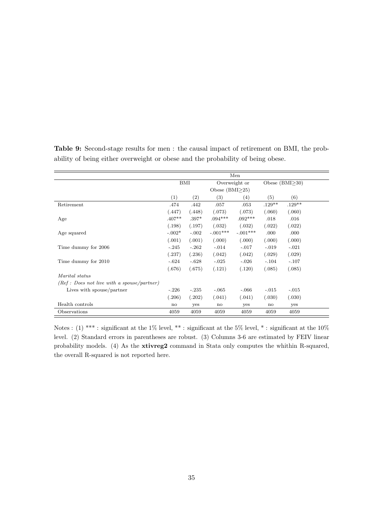|                                             | Men      |         |                  |               |                  |          |  |  |  |
|---------------------------------------------|----------|---------|------------------|---------------|------------------|----------|--|--|--|
|                                             | BMI      |         |                  | Overweight or | Obese $(BMI>30)$ |          |  |  |  |
|                                             |          |         | Obese $(BMI>25)$ |               |                  |          |  |  |  |
|                                             | (1)      | (2)     | (3)              | (4)           | (5)              | (6)      |  |  |  |
| Retirement                                  | .474     | .442    | .057             | .053          | $.129**$         | $.129**$ |  |  |  |
|                                             | (.447)   | (.448)  | (.073)           | (.073)        | (.060)           | (.060)   |  |  |  |
| Age                                         | $.407**$ | $.397*$ | $.094***$        | $.092***$     | .018             | .016     |  |  |  |
|                                             | (.198)   | (.197)  | (.032)           | (.032)        | (.022)           | (.022)   |  |  |  |
| Age squared                                 | $-.002*$ | $-.002$ | $-.001***$       | $-.001***$    | .000             | .000     |  |  |  |
|                                             | (.001)   | (.001)  | (.000)           | (.000)        | (.000)           | (.000)   |  |  |  |
| Time dummy for 2006                         | $-.245$  | $-.262$ | $-.014$          | $-.017$       | $-.019$          | $-.021$  |  |  |  |
|                                             | (.237)   | (.236)  | (.042)           | (.042)        | (.029)           | (.029)   |  |  |  |
| Time dummy for 2010                         | $-.624$  | $-.628$ | $-.025$          | $-.026$       | $-.104$          | $-.107$  |  |  |  |
|                                             | (.676)   | (.675)  | (.121)           | (.120)        | (.085)           | (.085)   |  |  |  |
| Marital status                              |          |         |                  |               |                  |          |  |  |  |
| $(Ref: Does not live with a space/partner)$ |          |         |                  |               |                  |          |  |  |  |
| Lives with spouse/partner                   | $-.226$  | $-.235$ | $-.065$          | $-.066$       | $-.015$          | $-.015$  |  |  |  |
|                                             | (.206)   | (.202)  | (.041)           | (.041)        | (.030)           | (.030)   |  |  |  |
| Health controls                             | no       | yes     | $\mathbf{n}$     | yes           | no               | yes      |  |  |  |
| Observations                                | 4059     | 4059    | 4059             | 4059          | 4059             | 4059     |  |  |  |

Table 9: Second-stage results for men : the causal impact of retirement on BMI, the probability of being either overweight or obese and the probability of being obese.

Notes : (1) \*\*\* : significant at the 1% level, \*\* : significant at the 5% level, \* : significant at the 10% level. (2) Standard errors in parentheses are robust. (3) Columns 3-6 are estimated by FEIV linear probability models. (4) As the **xtivreg2** command in Stata only computes the whithin R-squared, the overall R-squared is not reported here.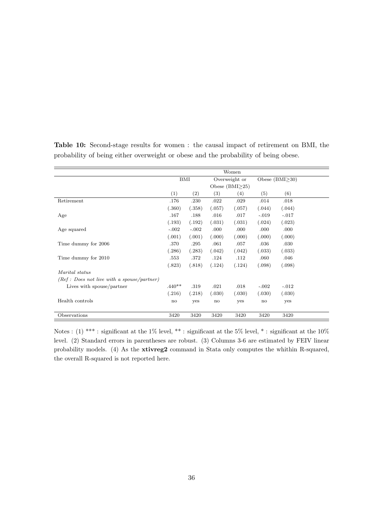|                                             | Women         |         |                       |               |               |                    |  |  |  |
|---------------------------------------------|---------------|---------|-----------------------|---------------|---------------|--------------------|--|--|--|
|                                             | BMI           |         |                       | Overweight or |               | Obese $(BMI > 30)$ |  |  |  |
|                                             |               |         | Obese $(BMI \geq 25)$ |               |               |                    |  |  |  |
|                                             | (1)           | (2)     | (3)                   | (4)           | (5)           | (6)                |  |  |  |
| Retirement                                  | .176          | .230    | .022                  | .029          | .014          | .018               |  |  |  |
|                                             | (.360)        | (.358)  | (.057)                | (.057)        | (.044)        | (.044)             |  |  |  |
| Age                                         | .167          | .188    | .016                  | .017          | $-.019$       | $-.017$            |  |  |  |
|                                             | (.193)        | (.192)  | (.031)                | (.031)        | (.024)        | (.023)             |  |  |  |
| Age squared                                 | $-.002$       | $-.002$ | .000                  | .000          | .000          | .000               |  |  |  |
|                                             | (.001)        | (.001)  | (.000)                | (.000)        | (.000)        | (.000)             |  |  |  |
| Time dummy for 2006                         | .370          | .295    | .061                  | .057          | .036          | .030               |  |  |  |
|                                             | (.286)        | (.283)  | (.042)                | (.042)        | (.033)        | (.033)             |  |  |  |
| Time dummy for 2010                         | .553          | .372    | .124                  | .112          | .060          | .046               |  |  |  |
|                                             | (.823)        | (.818)  | (.124)                | (.124)        | (.098)        | (.098)             |  |  |  |
| <i>Marital status</i>                       |               |         |                       |               |               |                    |  |  |  |
| $(Ref: Does not live with a space/partner)$ |               |         |                       |               |               |                    |  |  |  |
| Lives with spouse/partner                   | $.440**$      | .319    | .021                  | .018          | $-.002$       | $-.012$            |  |  |  |
|                                             | (.216)        | (.218)  | (.030)                | (.030)        | (.030)        | (.030)             |  |  |  |
| Health controls                             | $\mathbf{no}$ | yes     | no                    | yes           | $\mathbf{no}$ | yes                |  |  |  |
|                                             |               |         |                       |               |               |                    |  |  |  |
| Observations                                | 3420          | 3420    | 3420                  | 3420          | 3420          | 3420               |  |  |  |

Table 10: Second-stage results for women : the causal impact of retirement on BMI, the probability of being either overweight or obese and the probability of being obese.

Notes : (1) \*\*\* : significant at the 1% level, \*\* : significant at the 5% level, \* : significant at the 10% level. (2) Standard errors in parentheses are robust. (3) Columns 3-6 are estimated by FEIV linear probability models. (4) As the xtivreg2 command in Stata only computes the whithin R-squared, the overall R-squared is not reported here.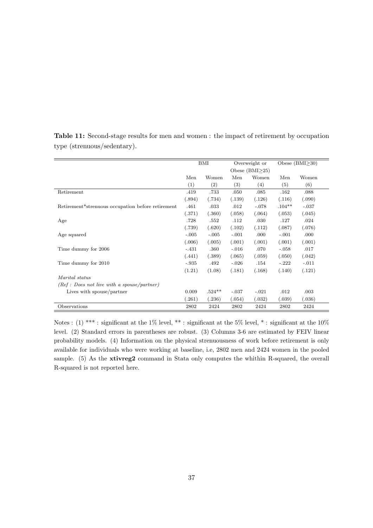|                                                   | BMI     |                   | Overweight or |                     |          | Obese $(BMI>30)$ |
|---------------------------------------------------|---------|-------------------|---------------|---------------------|----------|------------------|
|                                                   |         |                   |               | Obese $(BMI\geq25)$ |          |                  |
|                                                   | Men     | Women             | Men           | Women               | Men      | Women            |
|                                                   | (1)     | $\left( 2\right)$ | (3)           | (4)                 | (5)      | (6)              |
| Retirement                                        | .419    | .733              | .050          | .085                | .162     | .088             |
|                                                   | (.894)  | (.734)            | (.139)        | (.126)              | (.116)   | (.090)           |
| Retirement*strenuous occupation before retirement | .461    | .033              | .012          | $-.078$             | $.104**$ | $-.037$          |
|                                                   | (.371)  | (.360)            | (.058)        | (.064)              | (.053)   | (.045)           |
| Age                                               | .728    | .552              | .112          | .030                | .127     | .024             |
|                                                   | (.739)  | (.620)            | (.102)        | (.112)              | (.087)   | (.076)           |
| Age squared                                       | $-.005$ | $-.005$           | $-.001$       | .000                | $-.001$  | .000             |
|                                                   | (.006)  | (.005)            | (.001)        | (.001)              | (.001)   | (.001)           |
| Time dummy for 2006                               | $-.431$ | .360              | $-.016$       | .070                | $-.058$  | .017             |
|                                                   | (.441)  | (.389)            | (.065)        | (.059)              | (.050)   | (.042)           |
| Time dummy for 2010                               | $-.935$ | .492              | $-.026$       | .154                | $-.222$  | $-.011$          |
|                                                   | (1.21)  | (1.08)            | (.181)        | (.168)              | (.140)   | (.121)           |
| Marital status                                    |         |                   |               |                     |          |                  |
| $(Ref: Does not live with a space/partner)$       |         |                   |               |                     |          |                  |
| Lives with spouse/partner                         | 0.009   | $.524**$          | $-.037$       | $-.021$             | .012     | .003             |
|                                                   | (.261)  | (.236)            | (.054)        | (.032)              | (.039)   | (.036)           |
| Observations                                      | 2802    | 2424              | 2802          | 2424                | 2802     | 2424             |

Table 11: Second-stage results for men and women : the impact of retirement by occupation type (strenuous/sedentary).

Notes : (1) \*\*\* : significant at the 1% level, \*\* : significant at the 5% level, \* : significant at the 10% level. (2) Standard errors in parentheses are robust. (3) Columns 3-6 are estimated by FEIV linear probability models. (4) Information on the physical strenuousness of work before retirement is only available for individuals who were working at baseline, i.e, 2802 men and 2424 women in the pooled sample. (5) As the **xtivreg2** command in Stata only computes the whithin R-squared, the overall R-squared is not reported here.